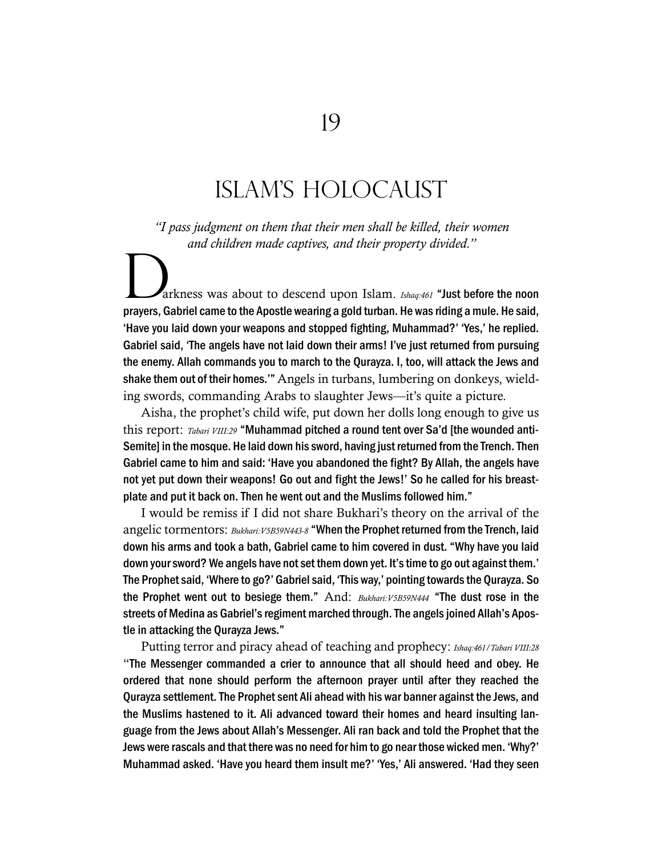## ISLAM'S HOLOCAUST

*"I pass judgment on them that their men shall be killed, their women and children made captives, and their property divided."*

arkness was about to descend upon Islam. *Ishaq:461* "Just before the noon prayers, Gabriel came to the Apostle wearing a gold turban. He was riding a mule. He said, 'Have you laid down your weapons and stopped fighting, Muhammad?' 'Yes,' he replied. Gabriel said, 'The angels have not laid down their arms! I've just returned from pursuing the enemy. Allah commands you to march to the Qurayza. I, too, will attack the Jews and shake them out of their homes.'" Angels in turbans, lumbering on donkeys, wielding swords, commanding Arabs to slaughter Jews—it's quite a picture.

Aisha, the prophet's child wife, put down her dolls long enough to give us this report: *Tabari VIII:29* "Muhammad pitched a round tent over Sa'd [the wounded anti-Semite] in the mosque. He laid down his sword, having just returned from the Trench. Then Gabriel came to him and said: 'Have you abandoned the fight? By Allah, the angels have not yet put down their weapons! Go out and fight the Jews!' So he called for his breastplate and put it back on. Then he went out and the Muslims followed him."

I would be remiss if I did not share Bukhari's theory on the arrival of the angelic tormentors: *Bukhari:V5B59N443-8* "When the Prophet returned from the Trench, laid down his arms and took a bath, Gabriel came to him covered in dust. "Why have you laid down your sword? We angels have not set them down yet. It's time to go out against them.' The Prophet said, 'Where to go?' Gabriel said, 'This way,' pointing towards the Qurayza. So the Prophet went out to besiege them." And: *Bukhari:V5B59N444* "The dust rose in the streets of Medina as Gabriel's regiment marched through. The angels joined Allah's Apostle in attacking the Qurayza Jews."

Putting terror and piracy ahead of teaching and prophecy: *Ishaq:461/Tabari VIII:28* "The Messenger commanded a crier to announce that all should heed and obey. He ordered that none should perform the afternoon prayer until after they reached the Qurayza settlement. The Prophet sent Ali ahead with his war banner against the Jews, and the Muslims hastened to it. Ali advanced toward their homes and heard insulting language from the Jews about Allah's Messenger. Ali ran back and told the Prophet that the Jews were rascals and that there was no need for him to go near those wicked men. 'Why?' Muhammad asked. 'Have you heard them insult me?' 'Yes,' Ali answered. 'Had they seen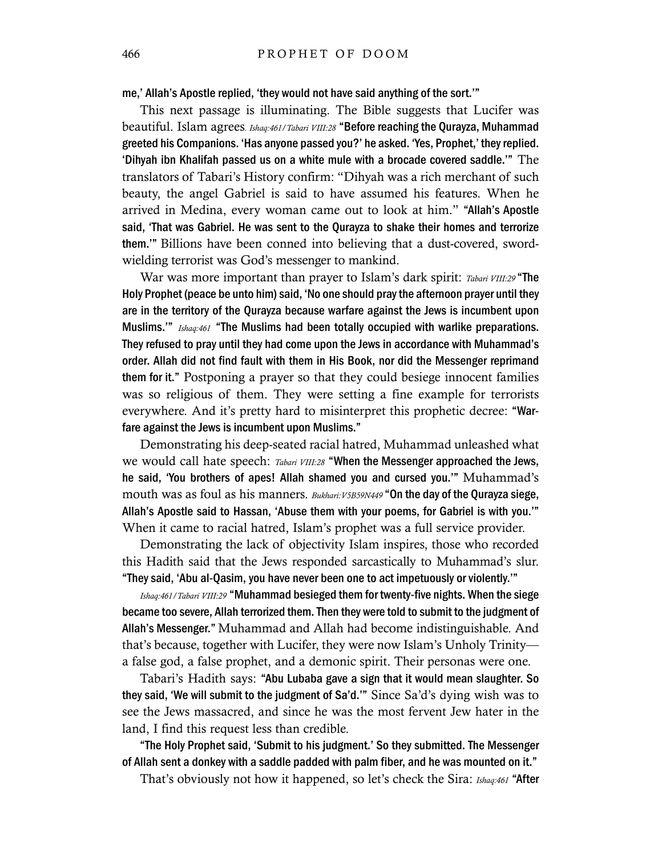me,' Allah's Apostle replied, 'they would not have said anything of the sort.'"

This next passage is illuminating. The Bible suggests that Lucifer was beautiful. Islam agrees*. Ishaq:461/Tabari VIII:28* "Before reaching the Qurayza, Muhammad greeted his Companions. 'Has anyone passed you?' he asked. 'Yes, Prophet,' they replied. 'Dihyah ibn Khalifah passed us on a white mule with a brocade covered saddle.'" The translators of Tabari's History confirm: "Dihyah was a rich merchant of such beauty, the angel Gabriel is said to have assumed his features. When he arrived in Medina, every woman came out to look at him." "Allah's Apostle said, 'That was Gabriel. He was sent to the Qurayza to shake their homes and terrorize them.'" Billions have been conned into believing that a dust-covered, swordwielding terrorist was God's messenger to mankind.

War was more important than prayer to Islam's dark spirit: *Tabari VIII:29* "The Holy Prophet (peace be unto him) said, 'No one should pray the afternoon prayer until they are in the territory of the Qurayza because warfare against the Jews is incumbent upon Muslims.'" *Ishaq:461* "The Muslims had been totally occupied with warlike preparations. They refused to pray until they had come upon the Jews in accordance with Muhammad's order. Allah did not find fault with them in His Book, nor did the Messenger reprimand them for it." Postponing a prayer so that they could besiege innocent families was so religious of them. They were setting a fine example for terrorists everywhere. And it's pretty hard to misinterpret this prophetic decree: "Warfare against the Jews is incumbent upon Muslims."

Demonstrating his deep-seated racial hatred, Muhammad unleashed what we would call hate speech: *Tabari VIII:28* "When the Messenger approached the Jews, he said, 'You brothers of apes! Allah shamed you and cursed you.'" Muhammad's mouth was as foul as his manners. *Bukhari:V5B59N449* "On the day of the Qurayza siege, Allah's Apostle said to Hassan, 'Abuse them with your poems, for Gabriel is with you.'" When it came to racial hatred, Islam's prophet was a full service provider.

Demonstrating the lack of objectivity Islam inspires, those who recorded this Hadith said that the Jews responded sarcastically to Muhammad's slur. "They said, 'Abu al-Qasim, you have never been one to act impetuously or violently.'"

*Ishaq:461/Tabari VIII:29* "Muhammad besieged them for twenty-five nights. When the siege became too severe, Allah terrorized them. Then they were told to submit to the judgment of Allah's Messenger." Muhammad and Allah had become indistinguishable. And that's because, together with Lucifer, they were now Islam's Unholy Trinity a false god, a false prophet, and a demonic spirit. Their personas were one.

Tabari's Hadith says: "Abu Lubaba gave a sign that it would mean slaughter. So they said, 'We will submit to the judgment of Sa'd.'" Since Sa'd's dying wish was to see the Jews massacred, and since he was the most fervent Jew hater in the land, I find this request less than credible.

"The Holy Prophet said, 'Submit to his judgment.' So they submitted. The Messenger of Allah sent a donkey with a saddle padded with palm fiber, and he was mounted on it."

That's obviously not how it happened, so let's check the Sira: *Ishaq:461* "After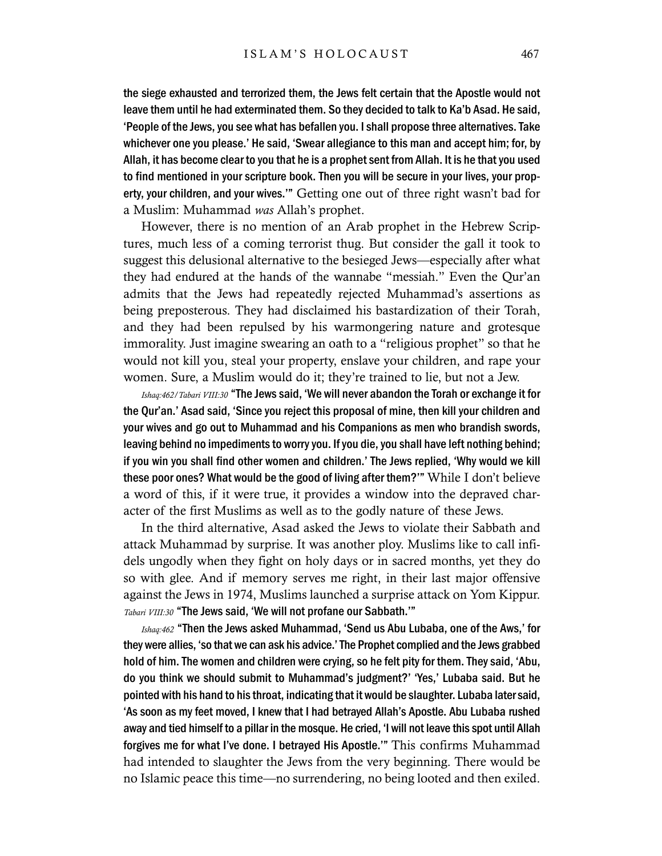the siege exhausted and terrorized them, the Jews felt certain that the Apostle would not leave them until he had exterminated them. So they decided to talk to Ka'b Asad. He said, 'People of the Jews, you see what has befallen you. I shall propose three alternatives. Take whichever one you please.' He said, 'Swear allegiance to this man and accept him; for, by Allah, it has become clear to you that he is a prophet sent from Allah. It is he that you used to find mentioned in your scripture book. Then you will be secure in your lives, your property, your children, and your wives.'" Getting one out of three right wasn't bad for a Muslim: Muhammad *was* Allah's prophet.

However, there is no mention of an Arab prophet in the Hebrew Scriptures, much less of a coming terrorist thug. But consider the gall it took to suggest this delusional alternative to the besieged Jews—especially after what they had endured at the hands of the wannabe "messiah." Even the Qur'an admits that the Jews had repeatedly rejected Muhammad's assertions as being preposterous. They had disclaimed his bastardization of their Torah, and they had been repulsed by his warmongering nature and grotesque immorality. Just imagine swearing an oath to a "religious prophet" so that he would not kill you, steal your property, enslave your children, and rape your women. Sure, a Muslim would do it; they're trained to lie, but not a Jew.

*Ishaq:462/Tabari VIII:30* "The Jews said, 'We will never abandon the Torah or exchange it for the Qur'an.' Asad said, 'Since you reject this proposal of mine, then kill your children and your wives and go out to Muhammad and his Companions as men who brandish swords, leaving behind no impediments to worry you. If you die, you shall have left nothing behind; if you win you shall find other women and children.' The Jews replied, 'Why would we kill these poor ones? What would be the good of living after them?'" While I don't believe a word of this, if it were true, it provides a window into the depraved character of the first Muslims as well as to the godly nature of these Jews.

In the third alternative, Asad asked the Jews to violate their Sabbath and attack Muhammad by surprise. It was another ploy. Muslims like to call infidels ungodly when they fight on holy days or in sacred months, yet they do so with glee. And if memory serves me right, in their last major offensive against the Jews in 1974, Muslims launched a surprise attack on Yom Kippur. *Tabari VIII:30* "The Jews said, 'We will not profane our Sabbath.'"

*Ishaq:462* "Then the Jews asked Muhammad, 'Send us Abu Lubaba, one of the Aws,' for they were allies, 'so that we can ask his advice.' The Prophet complied and the Jews grabbed hold of him. The women and children were crying, so he felt pity for them. They said, 'Abu, do you think we should submit to Muhammad's judgment?' 'Yes,' Lubaba said. But he pointed with his hand to his throat, indicating that it would be slaughter. Lubaba later said, 'As soon as my feet moved, I knew that I had betrayed Allah's Apostle. Abu Lubaba rushed away and tied himself to a pillar in the mosque. He cried, 'I will not leave this spot until Allah forgives me for what I've done. I betrayed His Apostle.'" This confirms Muhammad had intended to slaughter the Jews from the very beginning. There would be no Islamic peace this time—no surrendering, no being looted and then exiled.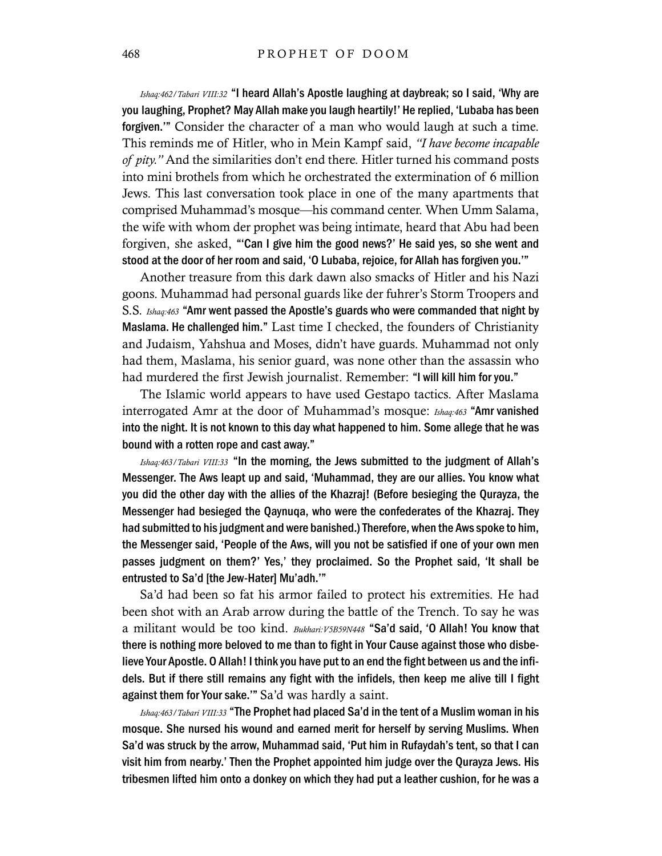*Ishaq:462/Tabari VIII:32* "I heard Allah's Apostle laughing at daybreak; so I said, 'Why are you laughing, Prophet? May Allah make you laugh heartily!' He replied, 'Lubaba has been forgiven.'" Consider the character of a man who would laugh at such a time. This reminds me of Hitler, who in Mein Kampf said, *"I have become incapable of pity."* And the similarities don't end there. Hitler turned his command posts into mini brothels from which he orchestrated the extermination of 6 million Jews. This last conversation took place in one of the many apartments that comprised Muhammad's mosque—his command center. When Umm Salama, the wife with whom der prophet was being intimate, heard that Abu had been forgiven, she asked, "'Can I give him the good news?' He said yes, so she went and stood at the door of her room and said, 'O Lubaba, rejoice, for Allah has forgiven you.'"

Another treasure from this dark dawn also smacks of Hitler and his Nazi goons. Muhammad had personal guards like der fuhrer's Storm Troopers and S.S. *Ishaq:463* "Amr went passed the Apostle's guards who were commanded that night by Maslama. He challenged him." Last time I checked, the founders of Christianity and Judaism, Yahshua and Moses, didn't have guards. Muhammad not only had them, Maslama, his senior guard, was none other than the assassin who had murdered the first Jewish journalist. Remember: "I will kill him for you."

The Islamic world appears to have used Gestapo tactics. After Maslama interrogated Amr at the door of Muhammad's mosque: *Ishaq:463* "Amr vanished into the night. It is not known to this day what happened to him. Some allege that he was bound with a rotten rope and cast away."

*Ishaq:463/Tabari VIII:33* "In the morning, the Jews submitted to the judgment of Allah's Messenger. The Aws leapt up and said, 'Muhammad, they are our allies. You know what you did the other day with the allies of the Khazraj! (Before besieging the Qurayza, the Messenger had besieged the Qaynuqa, who were the confederates of the Khazraj. They had submitted to his judgment and were banished.) Therefore, when the Aws spoke to him, the Messenger said, 'People of the Aws, will you not be satisfied if one of your own men passes judgment on them?' Yes,' they proclaimed. So the Prophet said, 'It shall be entrusted to Sa'd [the Jew-Hater] Mu'adh.'"

Sa'd had been so fat his armor failed to protect his extremities. He had been shot with an Arab arrow during the battle of the Trench. To say he was a militant would be too kind. *Bukhari:V5B59N448* "Sa'd said, 'O Allah! You know that there is nothing more beloved to me than to fight in Your Cause against those who disbelieve Your Apostle. O Allah! I think you have put to an end the fight between us and the infidels. But if there still remains any fight with the infidels, then keep me alive till I fight against them for Your sake.'" Sa'd was hardly a saint.

*Ishaq:463/Tabari VIII:33* "The Prophet had placed Sa'd in the tent of a Muslim woman in his mosque. She nursed his wound and earned merit for herself by serving Muslims. When Sa'd was struck by the arrow, Muhammad said, 'Put him in Rufaydah's tent, so that I can visit him from nearby.' Then the Prophet appointed him judge over the Qurayza Jews. His tribesmen lifted him onto a donkey on which they had put a leather cushion, for he was a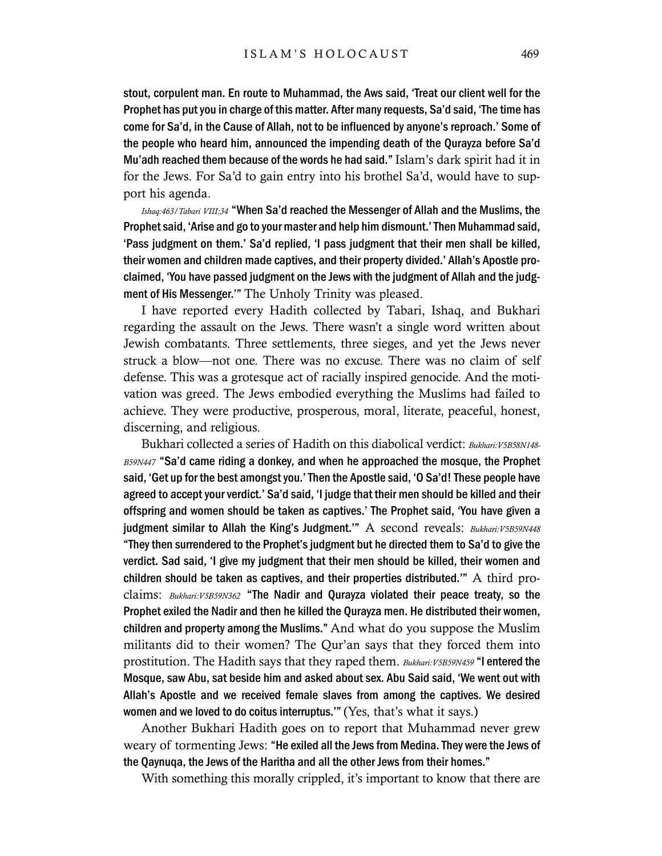stout, corpulent man. En route to Muhammad, the Aws said, 'Treat our client well for the Prophet has put you in charge of this matter. After many requests, Sa'd said, 'The time has come for Sa'd, in the Cause of Allah, not to be influenced by anyone's reproach.' Some of the people who heard him, announced the impending death of the Qurayza before Sa'd Mu'adh reached them because of the words he had said." Islam's dark spirit had it in for the Jews. For Sa'd to gain entry into his brothel Sa'd, would have to support his agenda.

*Ishaq:463/Tabari VIII:34* "When Sa'd reached the Messenger of Allah and the Muslims, the Prophet said, 'Arise and go to your master and help him dismount.' Then Muhammad said, 'Pass judgment on them.' Sa'd replied, 'I pass judgment that their men shall be killed, their women and children made captives, and their property divided.' Allah's Apostle proclaimed, 'You have passed judgment on the Jews with the judgment of Allah and the judgment of His Messenger.'" The Unholy Trinity was pleased.

I have reported every Hadith collected by Tabari, Ishaq, and Bukhari regarding the assault on the Jews. There wasn't a single word written about Jewish combatants. Three settlements, three sieges, and yet the Jews never struck a blow—not one. There was no excuse. There was no claim of self defense. This was a grotesque act of racially inspired genocide. And the motivation was greed. The Jews embodied everything the Muslims had failed to achieve. They were productive, prosperous, moral, literate, peaceful, honest, discerning, and religious.

Bukhari collected a series of Hadith on this diabolical verdict: *Bukhari:V5B58N148- B59N447* "Sa'd came riding a donkey, and when he approached the mosque, the Prophet said, 'Get up for the best amongst you.' Then the Apostle said, 'O Sa'd! These people have agreed to accept your verdict.' Sa'd said, 'I judge that their men should be killed and their offspring and women should be taken as captives.' The Prophet said, 'You have given a judgment similar to Allah the King's Judgment.'" A second reveals: *Bukhari:V5B59N448* "They then surrendered to the Prophet's judgment but he directed them to Sa'd to give the verdict. Sad said, 'I give my judgment that their men should be killed, their women and children should be taken as captives, and their properties distributed.'" A third proclaims: *Bukhari:V5B59N362* "The Nadir and Qurayza violated their peace treaty, so the Prophet exiled the Nadir and then he killed the Qurayza men. He distributed their women, children and property among the Muslims." And what do you suppose the Muslim militants did to their women? The Qur'an says that they forced them into prostitution. The Hadith says that they raped them. *Bukhari:V5B59N459* "I entered the Mosque, saw Abu, sat beside him and asked about sex. Abu Said said, 'We went out with Allah's Apostle and we received female slaves from among the captives. We desired women and we loved to do coitus interruptus.'" (Yes, that's what it says.)

Another Bukhari Hadith goes on to report that Muhammad never grew weary of tormenting Jews: "He exiled all the Jews from Medina. They were the Jews of the Qaynuqa, the Jews of the Haritha and all the other Jews from their homes."

With something this morally crippled, it's important to know that there are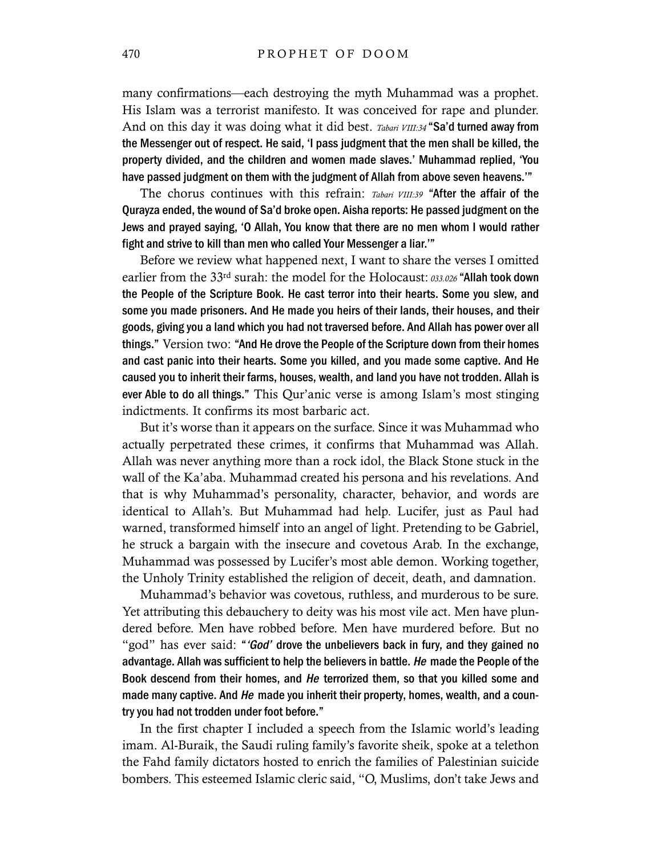many confirmations—each destroying the myth Muhammad was a prophet. His Islam was a terrorist manifesto. It was conceived for rape and plunder. And on this day it was doing what it did best. *Tabari VIII:34* "Sa'd turned away from the Messenger out of respect. He said, 'I pass judgment that the men shall be killed, the property divided, and the children and women made slaves.' Muhammad replied, 'You have passed judgment on them with the judgment of Allah from above seven heavens.'"

The chorus continues with this refrain: *Tabari VIII:39* "After the affair of the Qurayza ended, the wound of Sa'd broke open. Aisha reports: He passed judgment on the Jews and prayed saying, 'O Allah, You know that there are no men whom I would rather fight and strive to kill than men who called Your Messenger a liar.'"

Before we review what happened next, I want to share the verses I omitted earlier from the 33rd surah: the model for the Holocaust: *033.026* "Allah took down the People of the Scripture Book. He cast terror into their hearts. Some you slew, and some you made prisoners. And He made you heirs of their lands, their houses, and their goods, giving you a land which you had not traversed before. And Allah has power over all things." Version two: "And He drove the People of the Scripture down from their homes and cast panic into their hearts. Some you killed, and you made some captive. And He caused you to inherit their farms, houses, wealth, and land you have not trodden. Allah is ever Able to do all things." This Qur'anic verse is among Islam's most stinging indictments. It confirms its most barbaric act.

But it's worse than it appears on the surface. Since it was Muhammad who actually perpetrated these crimes, it confirms that Muhammad was Allah. Allah was never anything more than a rock idol, the Black Stone stuck in the wall of the Ka'aba. Muhammad created his persona and his revelations. And that is why Muhammad's personality, character, behavior, and words are identical to Allah's. But Muhammad had help. Lucifer, just as Paul had warned, transformed himself into an angel of light. Pretending to be Gabriel, he struck a bargain with the insecure and covetous Arab. In the exchange, Muhammad was possessed by Lucifer's most able demon. Working together, the Unholy Trinity established the religion of deceit, death, and damnation.

Muhammad's behavior was covetous, ruthless, and murderous to be sure. Yet attributing this debauchery to deity was his most vile act. Men have plundered before. Men have robbed before. Men have murdered before. But no "god" has ever said: "'God' drove the unbelievers back in fury, and they gained no advantage. Allah was sufficient to help the believers in battle. He made the People of the Book descend from their homes, and He terrorized them, so that you killed some and made many captive. And He made you inherit their property, homes, wealth, and a country you had not trodden under foot before."

In the first chapter I included a speech from the Islamic world's leading imam. Al-Buraik, the Saudi ruling family's favorite sheik, spoke at a telethon the Fahd family dictators hosted to enrich the families of Palestinian suicide bombers. This esteemed Islamic cleric said, "O, Muslims, don't take Jews and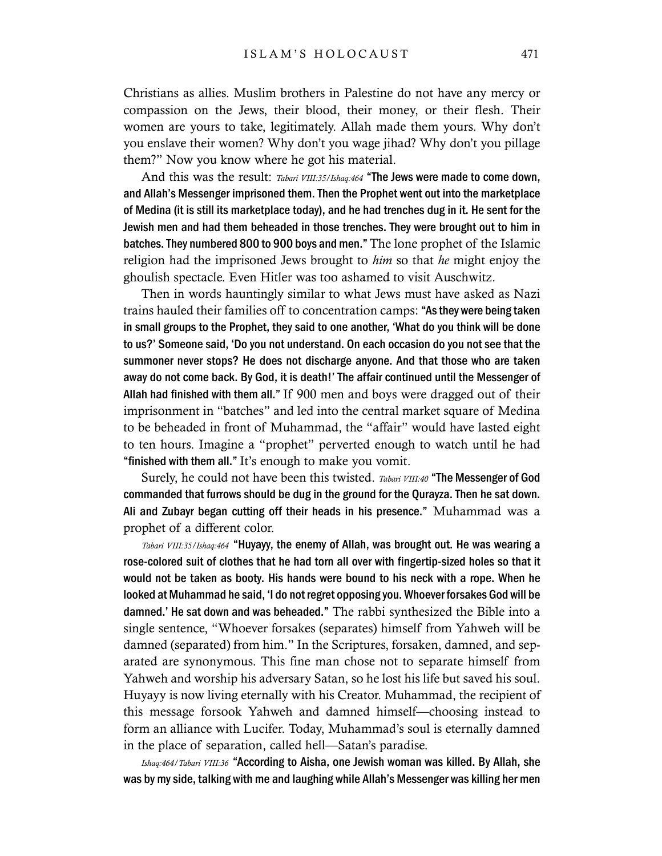Christians as allies. Muslim brothers in Palestine do not have any mercy or compassion on the Jews, their blood, their money, or their flesh. Their women are yours to take, legitimately. Allah made them yours. Why don't you enslave their women? Why don't you wage jihad? Why don't you pillage them?" Now you know where he got his material.

And this was the result: *Tabari VIII:35/Ishaq:464* "The Jews were made to come down, and Allah's Messenger imprisoned them. Then the Prophet went out into the marketplace of Medina (it is still its marketplace today), and he had trenches dug in it. He sent for the Jewish men and had them beheaded in those trenches. They were brought out to him in batches. They numbered 800 to 900 boys and men." The lone prophet of the Islamic religion had the imprisoned Jews brought to *him* so that *he* might enjoy the ghoulish spectacle. Even Hitler was too ashamed to visit Auschwitz.

Then in words hauntingly similar to what Jews must have asked as Nazi trains hauled their families off to concentration camps: "As they were being taken in small groups to the Prophet, they said to one another, 'What do you think will be done to us?' Someone said, 'Do you not understand. On each occasion do you not see that the summoner never stops? He does not discharge anyone. And that those who are taken away do not come back. By God, it is death!' The affair continued until the Messenger of Allah had finished with them all." If 900 men and boys were dragged out of their imprisonment in "batches" and led into the central market square of Medina to be beheaded in front of Muhammad, the "affair" would have lasted eight to ten hours. Imagine a "prophet" perverted enough to watch until he had "finished with them all." It's enough to make you vomit.

Surely, he could not have been this twisted. *Tabari VIII:40* "The Messenger of God commanded that furrows should be dug in the ground for the Qurayza. Then he sat down. Ali and Zubayr began cutting off their heads in his presence." Muhammad was a prophet of a different color.

*Tabari VIII:35/Ishaq:464* "Huyayy, the enemy of Allah, was brought out. He was wearing a rose-colored suit of clothes that he had torn all over with fingertip-sized holes so that it would not be taken as booty. His hands were bound to his neck with a rope. When he looked at Muhammad he said, 'I do not regret opposing you. Whoever forsakes God will be damned.' He sat down and was beheaded." The rabbi synthesized the Bible into a single sentence, "Whoever forsakes (separates) himself from Yahweh will be damned (separated) from him." In the Scriptures, forsaken, damned, and separated are synonymous. This fine man chose not to separate himself from Yahweh and worship his adversary Satan, so he lost his life but saved his soul. Huyayy is now living eternally with his Creator. Muhammad, the recipient of this message forsook Yahweh and damned himself—choosing instead to form an alliance with Lucifer. Today, Muhammad's soul is eternally damned in the place of separation, called hell—Satan's paradise.

*Ishaq:464/Tabari VIII:36* "According to Aisha, one Jewish woman was killed. By Allah, she was by my side, talking with me and laughing while Allah's Messenger was killing her men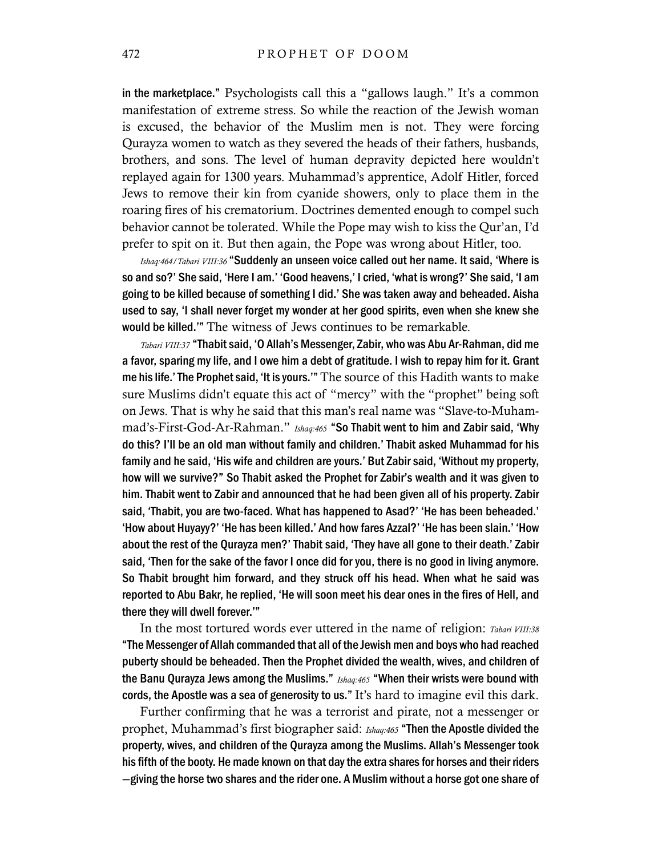in the marketplace." Psychologists call this a "gallows laugh." It's a common manifestation of extreme stress. So while the reaction of the Jewish woman is excused, the behavior of the Muslim men is not. They were forcing Qurayza women to watch as they severed the heads of their fathers, husbands, brothers, and sons. The level of human depravity depicted here wouldn't replayed again for 1300 years. Muhammad's apprentice, Adolf Hitler, forced Jews to remove their kin from cyanide showers, only to place them in the roaring fires of his crematorium. Doctrines demented enough to compel such behavior cannot be tolerated. While the Pope may wish to kiss the Qur'an, I'd prefer to spit on it. But then again, the Pope was wrong about Hitler, too.

*Ishaq:464/Tabari VIII:36* "Suddenly an unseen voice called out her name. It said, 'Where is so and so?' She said, 'Here I am.' 'Good heavens,' I cried, 'what is wrong?' She said, 'I am going to be killed because of something I did.' She was taken away and beheaded. Aisha used to say, 'I shall never forget my wonder at her good spirits, even when she knew she would be killed.'" The witness of Jews continues to be remarkable.

*Tabari VIII:37* "Thabit said, 'O Allah's Messenger, Zabir, who was Abu Ar-Rahman, did me a favor, sparing my life, and I owe him a debt of gratitude. I wish to repay him for it. Grant me his life.' The Prophet said, 'It is yours.'" The source of this Hadith wants to make sure Muslims didn't equate this act of "mercy" with the "prophet" being soft on Jews. That is why he said that this man's real name was "Slave-to-Muhammad's-First-God-Ar-Rahman." *Ishaq:465* "So Thabit went to him and Zabir said, 'Why do this? I'll be an old man without family and children.' Thabit asked Muhammad for his family and he said, 'His wife and children are yours.' But Zabir said, 'Without my property, how will we survive?" So Thabit asked the Prophet for Zabir's wealth and it was given to him. Thabit went to Zabir and announced that he had been given all of his property. Zabir said, 'Thabit, you are two-faced. What has happened to Asad?' 'He has been beheaded.' 'How about Huyayy?' 'He has been killed.' And how fares Azzal?' 'He has been slain.' 'How about the rest of the Qurayza men?' Thabit said, 'They have all gone to their death.' Zabir said, 'Then for the sake of the favor I once did for you, there is no good in living anymore. So Thabit brought him forward, and they struck off his head. When what he said was reported to Abu Bakr, he replied, 'He will soon meet his dear ones in the fires of Hell, and there they will dwell forever.'"

In the most tortured words ever uttered in the name of religion: *Tabari VIII:38* "The Messenger of Allah commanded that all of the Jewish men and boys who had reached puberty should be beheaded. Then the Prophet divided the wealth, wives, and children of the Banu Qurayza Jews among the Muslims." *Ishaq:465* "When their wrists were bound with cords, the Apostle was a sea of generosity to us." It's hard to imagine evil this dark.

Further confirming that he was a terrorist and pirate, not a messenger or prophet, Muhammad's first biographer said: *Ishaq:465* "Then the Apostle divided the property, wives, and children of the Qurayza among the Muslims. Allah's Messenger took his fifth of the booty. He made known on that day the extra shares for horses and their riders —giving the horse two shares and the rider one. A Muslim without a horse got one share of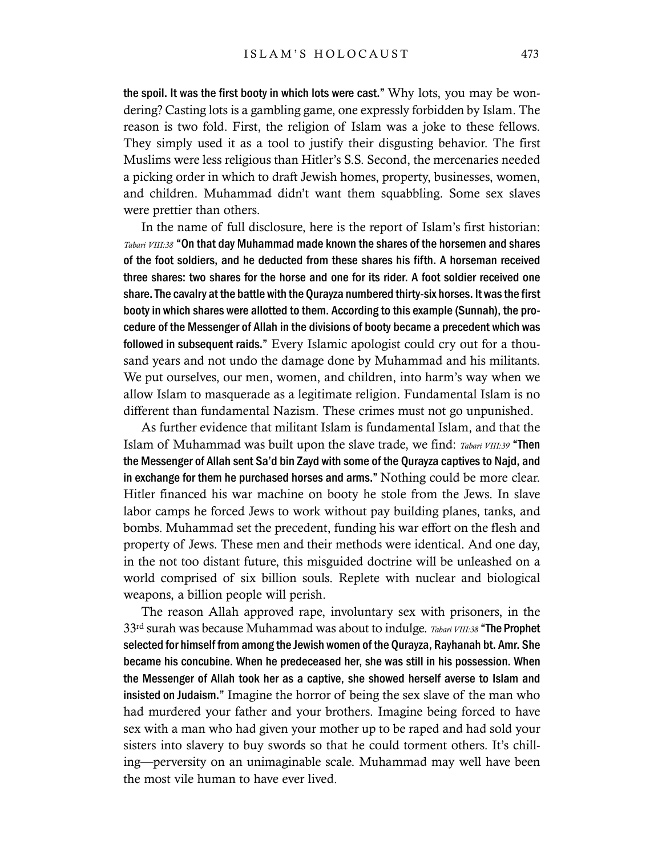the spoil. It was the first booty in which lots were cast." Why lots, you may be wondering? Casting lots is a gambling game, one expressly forbidden by Islam. The reason is two fold. First, the religion of Islam was a joke to these fellows. They simply used it as a tool to justify their disgusting behavior. The first Muslims were less religious than Hitler's S.S. Second, the mercenaries needed a picking order in which to draft Jewish homes, property, businesses, women, and children. Muhammad didn't want them squabbling. Some sex slaves were prettier than others.

In the name of full disclosure, here is the report of Islam's first historian: *Tabari VIII:38* "On that day Muhammad made known the shares of the horsemen and shares of the foot soldiers, and he deducted from these shares his fifth. A horseman received three shares: two shares for the horse and one for its rider. A foot soldier received one share. The cavalry at the battle with the Qurayza numbered thirty-six horses. It was the first booty in which shares were allotted to them. According to this example (Sunnah), the procedure of the Messenger of Allah in the divisions of booty became a precedent which was followed in subsequent raids." Every Islamic apologist could cry out for a thousand years and not undo the damage done by Muhammad and his militants. We put ourselves, our men, women, and children, into harm's way when we allow Islam to masquerade as a legitimate religion. Fundamental Islam is no different than fundamental Nazism. These crimes must not go unpunished.

As further evidence that militant Islam is fundamental Islam, and that the Islam of Muhammad was built upon the slave trade, we find: *Tabari VIII:39* "Then the Messenger of Allah sent Sa'd bin Zayd with some of the Qurayza captives to Najd, and in exchange for them he purchased horses and arms." Nothing could be more clear. Hitler financed his war machine on booty he stole from the Jews. In slave labor camps he forced Jews to work without pay building planes, tanks, and bombs. Muhammad set the precedent, funding his war effort on the flesh and property of Jews. These men and their methods were identical. And one day, in the not too distant future, this misguided doctrine will be unleashed on a world comprised of six billion souls. Replete with nuclear and biological weapons, a billion people will perish.

The reason Allah approved rape, involuntary sex with prisoners, in the 33rd surah was because Muhammad was about to indulge. *Tabari VIII:38* "The Prophet selected for himself from among the Jewish women of the Qurayza, Rayhanah bt. Amr. She became his concubine. When he predeceased her, she was still in his possession. When the Messenger of Allah took her as a captive, she showed herself averse to Islam and insisted on Judaism." Imagine the horror of being the sex slave of the man who had murdered your father and your brothers. Imagine being forced to have sex with a man who had given your mother up to be raped and had sold your sisters into slavery to buy swords so that he could torment others. It's chilling—perversity on an unimaginable scale. Muhammad may well have been the most vile human to have ever lived.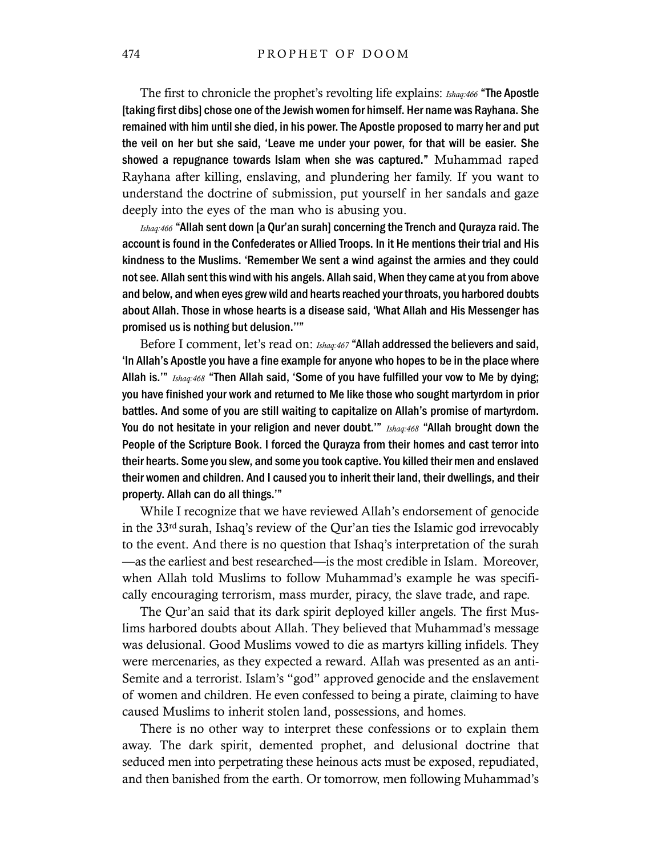The first to chronicle the prophet's revolting life explains: *Ishaq:466* "The Apostle [taking first dibs] chose one of the Jewish women for himself. Her name was Rayhana. She remained with him until she died, in his power. The Apostle proposed to marry her and put the veil on her but she said, 'Leave me under your power, for that will be easier. She showed a repugnance towards Islam when she was captured." Muhammad raped Rayhana after killing, enslaving, and plundering her family. If you want to understand the doctrine of submission, put yourself in her sandals and gaze deeply into the eyes of the man who is abusing you.

*Ishaq:466* "Allah sent down [a Qur'an surah] concerning the Trench and Qurayza raid. The account is found in the Confederates or Allied Troops. In it He mentions their trial and His kindness to the Muslims. 'Remember We sent a wind against the armies and they could not see. Allah sent this wind with his angels. Allah said, When they came at you from above and below, and when eyes grew wild and hearts reached your throats, you harbored doubts about Allah. Those in whose hearts is a disease said, 'What Allah and His Messenger has promised us is nothing but delusion.''"

Before I comment, let's read on: *Ishaq:467* "Allah addressed the believers and said, 'In Allah's Apostle you have a fine example for anyone who hopes to be in the place where Allah is.'" *Ishaq:468* "Then Allah said, 'Some of you have fulfilled your vow to Me by dying; you have finished your work and returned to Me like those who sought martyrdom in prior battles. And some of you are still waiting to capitalize on Allah's promise of martyrdom. You do not hesitate in your religion and never doubt." *Ishaq:468* "Allah brought down the People of the Scripture Book. I forced the Qurayza from their homes and cast terror into their hearts. Some you slew, and some you took captive. You killed their men and enslaved their women and children. And I caused you to inherit their land, their dwellings, and their property. Allah can do all things.'"

While I recognize that we have reviewed Allah's endorsement of genocide in the 33rd surah, Ishaq's review of the Qur'an ties the Islamic god irrevocably to the event. And there is no question that Ishaq's interpretation of the surah —as the earliest and best researched—is the most credible in Islam. Moreover, when Allah told Muslims to follow Muhammad's example he was specifically encouraging terrorism, mass murder, piracy, the slave trade, and rape.

The Qur'an said that its dark spirit deployed killer angels. The first Muslims harbored doubts about Allah. They believed that Muhammad's message was delusional. Good Muslims vowed to die as martyrs killing infidels. They were mercenaries, as they expected a reward. Allah was presented as an anti-Semite and a terrorist. Islam's "god" approved genocide and the enslavement of women and children. He even confessed to being a pirate, claiming to have caused Muslims to inherit stolen land, possessions, and homes.

There is no other way to interpret these confessions or to explain them away. The dark spirit, demented prophet, and delusional doctrine that seduced men into perpetrating these heinous acts must be exposed, repudiated, and then banished from the earth. Or tomorrow, men following Muhammad's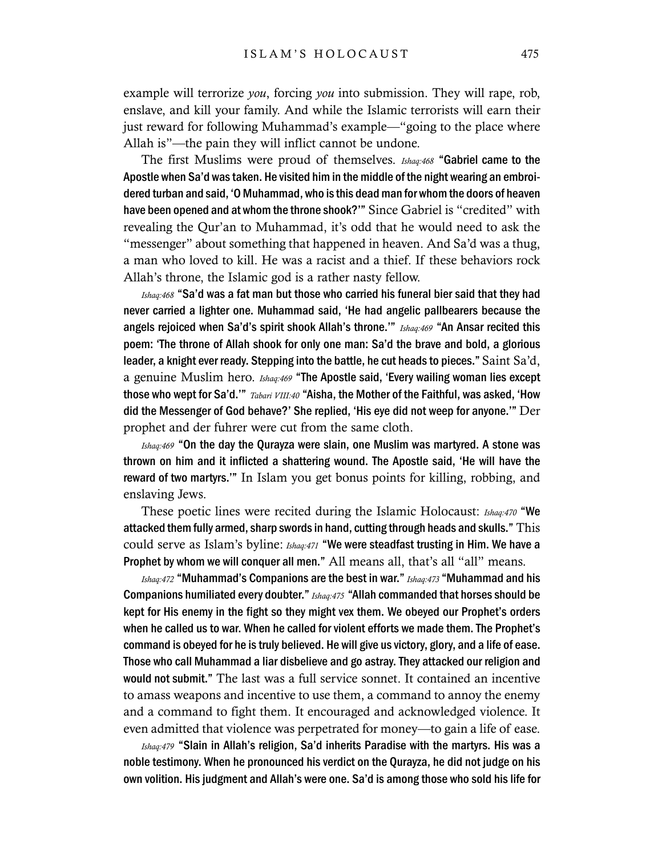example will terrorize *you*, forcing *you* into submission. They will rape, rob, enslave, and kill your family. And while the Islamic terrorists will earn their just reward for following Muhammad's example—"going to the place where Allah is"—the pain they will inflict cannot be undone.

The first Muslims were proud of themselves. *Ishaq:468* "Gabriel came to the Apostle when Sa'd was taken. He visited him in the middle of the night wearing an embroidered turban and said, 'O Muhammad, who is this dead man for whom the doors of heaven have been opened and at whom the throne shook?'" Since Gabriel is "credited" with revealing the Qur'an to Muhammad, it's odd that he would need to ask the "messenger" about something that happened in heaven. And Sa'd was a thug, a man who loved to kill. He was a racist and a thief. If these behaviors rock Allah's throne, the Islamic god is a rather nasty fellow.

*Ishaq:468* "Sa'd was a fat man but those who carried his funeral bier said that they had never carried a lighter one. Muhammad said, 'He had angelic pallbearers because the angels rejoiced when Sa'd's spirit shook Allah's throne.'" *Ishaq:469* "An Ansar recited this poem: 'The throne of Allah shook for only one man: Sa'd the brave and bold, a glorious leader, a knight ever ready. Stepping into the battle, he cut heads to pieces." Saint Sa'd, a genuine Muslim hero. *Ishaq:469* "The Apostle said, 'Every wailing woman lies except those who wept for Sa'd.'" *Tabari VIII:40* "Aisha, the Mother of the Faithful, was asked, 'How did the Messenger of God behave?' She replied, 'His eye did not weep for anyone.'" Der prophet and der fuhrer were cut from the same cloth.

*Ishaq:469* "On the day the Qurayza were slain, one Muslim was martyred. A stone was thrown on him and it inflicted a shattering wound. The Apostle said, 'He will have the reward of two martyrs.'" In Islam you get bonus points for killing, robbing, and enslaving Jews.

These poetic lines were recited during the Islamic Holocaust: *Ishaq:470* "We attacked them fully armed, sharp swords in hand, cutting through heads and skulls." This could serve as Islam's byline: *Ishaq:471* "We were steadfast trusting in Him. We have a Prophet by whom we will conquer all men." All means all, that's all "all" means.

*Ishaq:472* "Muhammad's Companions are the best in war." *Ishaq:473* "Muhammad and his Companions humiliated every doubter." *Ishaq:475* "Allah commanded that horses should be kept for His enemy in the fight so they might vex them. We obeyed our Prophet's orders when he called us to war. When he called for violent efforts we made them. The Prophet's command is obeyed for he is truly believed. He will give us victory, glory, and a life of ease. Those who call Muhammad a liar disbelieve and go astray. They attacked our religion and would not submit." The last was a full service sonnet. It contained an incentive to amass weapons and incentive to use them, a command to annoy the enemy and a command to fight them. It encouraged and acknowledged violence. It even admitted that violence was perpetrated for money—to gain a life of ease.

*Ishaq:479* "Slain in Allah's religion, Sa'd inherits Paradise with the martyrs. His was a noble testimony. When he pronounced his verdict on the Qurayza, he did not judge on his own volition. His judgment and Allah's were one. Sa'd is among those who sold his life for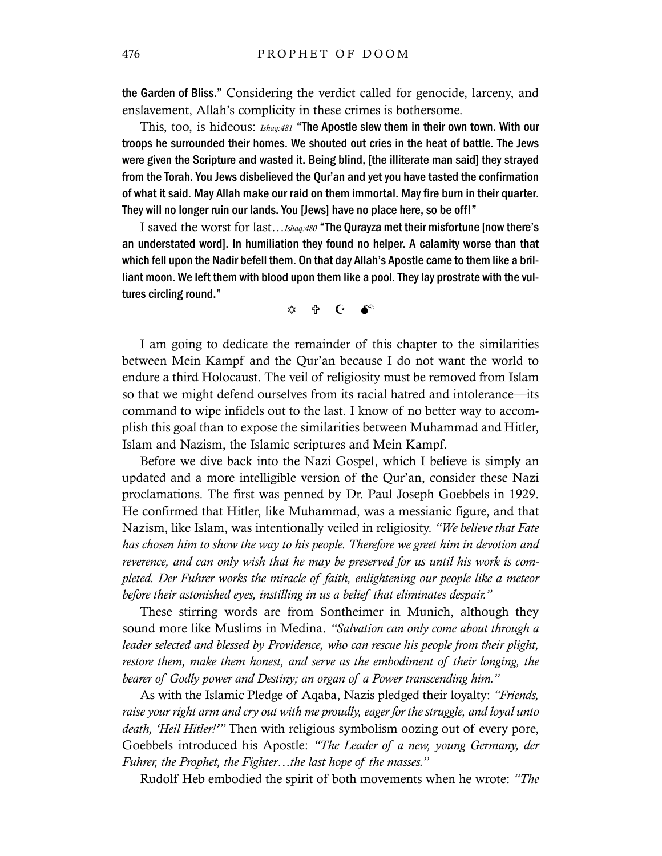the Garden of Bliss." Considering the verdict called for genocide, larceny, and enslavement, Allah's complicity in these crimes is bothersome.

This, too, is hideous: *Ishaq:481* "The Apostle slew them in their own town. With our troops he surrounded their homes. We shouted out cries in the heat of battle. The Jews were given the Scripture and wasted it. Being blind, [the illiterate man said] they strayed from the Torah. You Jews disbelieved the Qur'an and yet you have tasted the confirmation of what it said. May Allah make our raid on them immortal. May fire burn in their quarter. They will no longer ruin our lands. You [Jews] have no place here, so be off!"

I saved the worst for last…*Ishaq:480* "The Qurayza met their misfortune [now there's an understated word]. In humiliation they found no helper. A calamity worse than that which fell upon the Nadir befell them. On that day Allah's Apostle came to them like a brilliant moon. We left them with blood upon them like a pool. They lay prostrate with the vultures circling round."

 $\uplus$   $\uplus$   $\uplus$   $\uplus$   $\uplus$ 

I am going to dedicate the remainder of this chapter to the similarities between Mein Kampf and the Qur'an because I do not want the world to endure a third Holocaust. The veil of religiosity must be removed from Islam so that we might defend ourselves from its racial hatred and intolerance—its command to wipe infidels out to the last. I know of no better way to accomplish this goal than to expose the similarities between Muhammad and Hitler, Islam and Nazism, the Islamic scriptures and Mein Kampf.

Before we dive back into the Nazi Gospel, which I believe is simply an updated and a more intelligible version of the Qur'an, consider these Nazi proclamations. The first was penned by Dr. Paul Joseph Goebbels in 1929. He confirmed that Hitler, like Muhammad, was a messianic figure, and that Nazism, like Islam, was intentionally veiled in religiosity. *"We believe that Fate has chosen him to show the way to his people. Therefore we greet him in devotion and reverence, and can only wish that he may be preserved for us until his work is completed. Der Fuhrer works the miracle of faith, enlightening our people like a meteor before their astonished eyes, instilling in us a belief that eliminates despair."*

These stirring words are from Sontheimer in Munich, although they sound more like Muslims in Medina. *"Salvation can only come about through a leader selected and blessed by Providence, who can rescue his people from their plight, restore them, make them honest, and serve as the embodiment of their longing, the bearer of Godly power and Destiny; an organ of a Power transcending him."*

As with the Islamic Pledge of Aqaba, Nazis pledged their loyalty: *"Friends, raise your right arm and cry out with me proudly, eager for the struggle, and loyal unto death, 'Heil Hitler!'"* Then with religious symbolism oozing out of every pore, Goebbels introduced his Apostle: *"The Leader of a new, young Germany, der Fuhrer, the Prophet, the Fighter…the last hope of the masses."*

Rudolf Heb embodied the spirit of both movements when he wrote: *"The*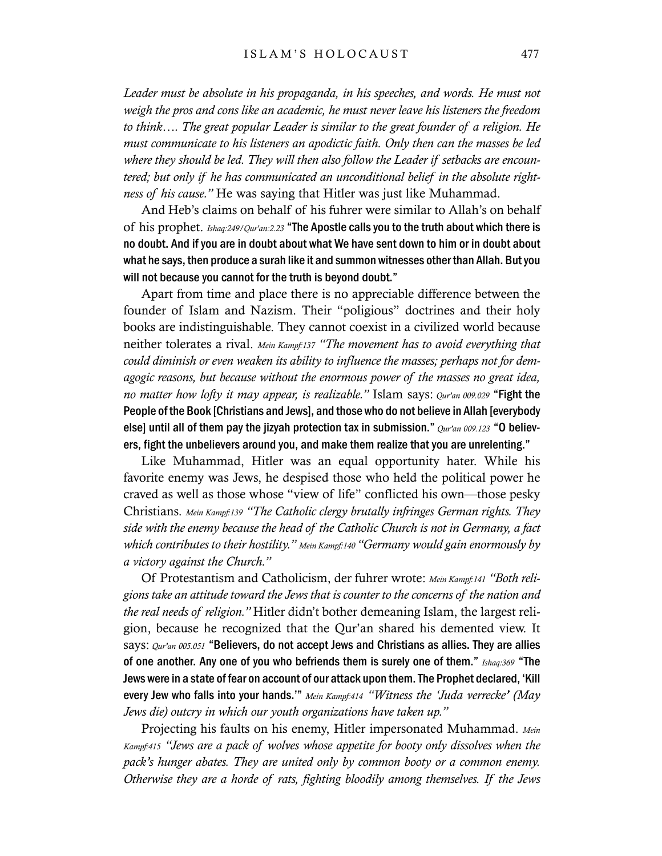*Leader must be absolute in his propaganda, in his speeches, and words. He must not weigh the pros and cons like an academic, he must never leave his listeners the freedom to think…. The great popular Leader is similar to the great founder of a religion. He must communicate to his listeners an apodictic faith. Only then can the masses be led where they should be led. They will then also follow the Leader if setbacks are encountered; but only if he has communicated an unconditional belief in the absolute rightness of his cause."* He was saying that Hitler was just like Muhammad.

And Heb's claims on behalf of his fuhrer were similar to Allah's on behalf of his prophet. *Ishaq:249/Qur'an:2.23* "The Apostle calls you to the truth about which there is no doubt. And if you are in doubt about what We have sent down to him or in doubt about what he says, then produce a surah like it and summon witnesses other than Allah. But you will not because you cannot for the truth is beyond doubt."

Apart from time and place there is no appreciable difference between the founder of Islam and Nazism. Their "poligious" doctrines and their holy books are indistinguishable. They cannot coexist in a civilized world because neither tolerates a rival. *Mein Kampf:137 "The movement has to avoid everything that could diminish or even weaken its ability to influence the masses; perhaps not for demagogic reasons, but because without the enormous power of the masses no great idea, no matter how lofty it may appear, is realizable."* Islam says: *Qur'an 009.029* "Fight the People of the Book [Christians and Jews], and those who do not believe in Allah [everybody else] until all of them pay the jizyah protection tax in submission." *Qur'an 009.123* "O believers, fight the unbelievers around you, and make them realize that you are unrelenting."

Like Muhammad, Hitler was an equal opportunity hater. While his favorite enemy was Jews, he despised those who held the political power he craved as well as those whose "view of life" conflicted his own—those pesky Christians. *Mein Kampf:139 "The Catholic clergy brutally infringes German rights. They side with the enemy because the head of the Catholic Church is not in Germany, a fact which contributes to their hostility." Mein Kampf:140 "Germany would gain enormously by a victory against the Church."*

Of Protestantism and Catholicism, der fuhrer wrote: *Mein Kampf:141 "Both religions take an attitude toward the Jews that is counter to the concerns of the nation and the real needs of religion."* Hitler didn't bother demeaning Islam, the largest religion, because he recognized that the Qur'an shared his demented view. It says: *Qur'an 005.051* "Believers, do not accept Jews and Christians as allies. They are allies of one another. Any one of you who befriends them is surely one of them." *Ishaq:369* "The Jews were in a state of fear on account of our attack upon them. The Prophet declared, 'Kill every Jew who falls into your hands.'" *Mein Kampf:414 "Witness the 'Juda verrecke' (May Jews die) outcry in which our youth organizations have taken up."*

Projecting his faults on his enemy, Hitler impersonated Muhammad. *Mein Kampf:415 "Jews are a pack of wolves whose appetite for booty only dissolves when the pack's hunger abates. They are united only by common booty or a common enemy. Otherwise they are a horde of rats, fighting bloodily among themselves. If the Jews*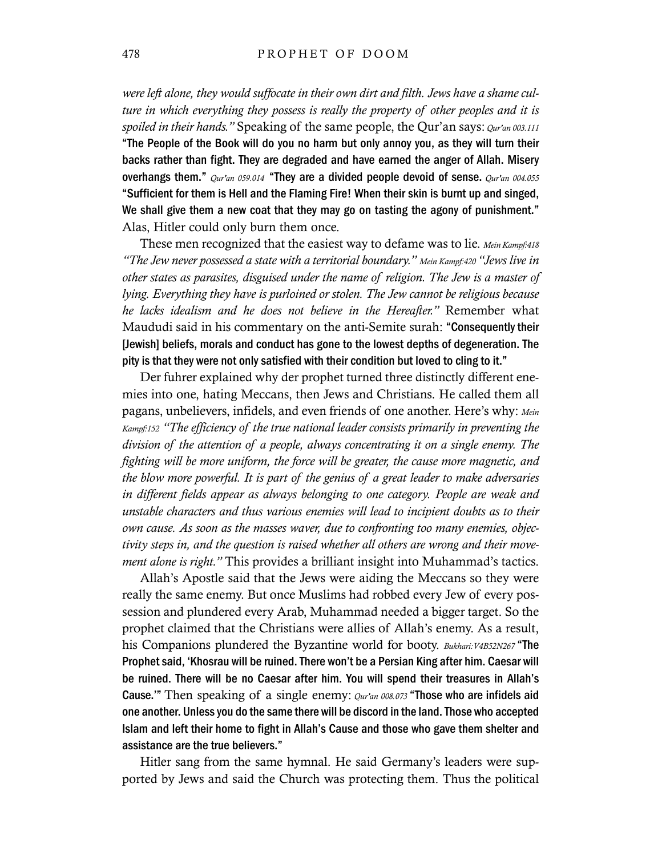*were left alone, they would suffocate in their own dirt and filth. Jews have a shame culture in which everything they possess is really the property of other peoples and it is spoiled in their hands."* Speaking of the same people, the Qur'an says: *Qur'an 003.111* "The People of the Book will do you no harm but only annoy you, as they will turn their backs rather than fight. They are degraded and have earned the anger of Allah. Misery overhangs them." *Qur'an 059.014* "They are a divided people devoid of sense. *Qur'an 004.055* "Sufficient for them is Hell and the Flaming Fire! When their skin is burnt up and singed, We shall give them a new coat that they may go on tasting the agony of punishment." Alas, Hitler could only burn them once.

These men recognized that the easiest way to defame was to lie. *Mein Kampf:418 "The Jew never possessed a state with a territorial boundary." Mein Kampf:420 "Jews live in other states as parasites, disguised under the name of religion. The Jew is a master of lying. Everything they have is purloined or stolen. The Jew cannot be religious because he lacks idealism and he does not believe in the Hereafter."* Remember what Maududi said in his commentary on the anti-Semite surah: "Consequently their [Jewish] beliefs, morals and conduct has gone to the lowest depths of degeneration. The pity is that they were not only satisfied with their condition but loved to cling to it."

Der fuhrer explained why der prophet turned three distinctly different enemies into one, hating Meccans, then Jews and Christians. He called them all pagans, unbelievers, infidels, and even friends of one another. Here's why: *Mein Kampf:152 "The efficiency of the true national leader consists primarily in preventing the division of the attention of a people, always concentrating it on a single enemy. The fighting will be more uniform, the force will be greater, the cause more magnetic, and the blow more powerful. It is part of the genius of a great leader to make adversaries in different fields appear as always belonging to one category. People are weak and unstable characters and thus various enemies will lead to incipient doubts as to their own cause. As soon as the masses waver, due to confronting too many enemies, objectivity steps in, and the question is raised whether all others are wrong and their movement alone is right."* This provides a brilliant insight into Muhammad's tactics.

Allah's Apostle said that the Jews were aiding the Meccans so they were really the same enemy. But once Muslims had robbed every Jew of every possession and plundered every Arab, Muhammad needed a bigger target. So the prophet claimed that the Christians were allies of Allah's enemy. As a result, his Companions plundered the Byzantine world for booty. *Bukhari:V4B52N267* "The Prophet said, 'Khosrau will be ruined. There won't be a Persian King after him. Caesar will be ruined. There will be no Caesar after him. You will spend their treasures in Allah's Cause.'" Then speaking of a single enemy: *Qur'an 008.073* "Those who are infidels aid one another. Unless you do the same there will be discord in the land. Those who accepted Islam and left their home to fight in Allah's Cause and those who gave them shelter and assistance are the true believers."

Hitler sang from the same hymnal. He said Germany's leaders were supported by Jews and said the Church was protecting them. Thus the political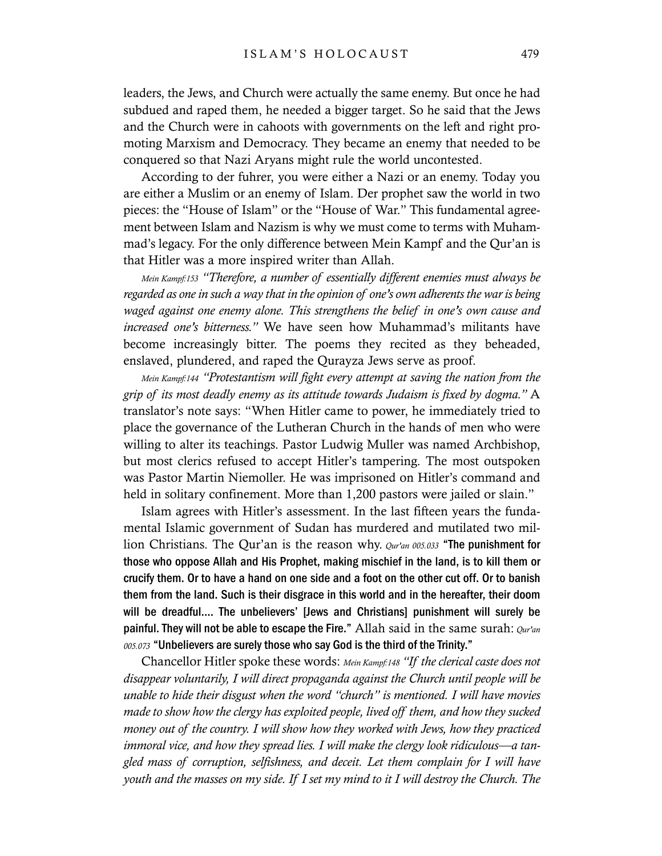leaders, the Jews, and Church were actually the same enemy. But once he had subdued and raped them, he needed a bigger target. So he said that the Jews and the Church were in cahoots with governments on the left and right promoting Marxism and Democracy. They became an enemy that needed to be conquered so that Nazi Aryans might rule the world uncontested.

According to der fuhrer, you were either a Nazi or an enemy. Today you are either a Muslim or an enemy of Islam. Der prophet saw the world in two pieces: the "House of Islam" or the "House of War." This fundamental agreement between Islam and Nazism is why we must come to terms with Muhammad's legacy. For the only difference between Mein Kampf and the Qur'an is that Hitler was a more inspired writer than Allah.

*Mein Kampf:153 "Therefore, a number of essentially different enemies must always be regarded as one in such a way that in the opinion of one's own adherents the war is being waged against one enemy alone. This strengthens the belief in one's own cause and increased one's bitterness."* We have seen how Muhammad's militants have become increasingly bitter. The poems they recited as they beheaded, enslaved, plundered, and raped the Qurayza Jews serve as proof.

*Mein Kampf:144 "Protestantism will fight every attempt at saving the nation from the grip of its most deadly enemy as its attitude towards Judaism is fixed by dogma."* A translator's note says: "When Hitler came to power, he immediately tried to place the governance of the Lutheran Church in the hands of men who were willing to alter its teachings. Pastor Ludwig Muller was named Archbishop, but most clerics refused to accept Hitler's tampering. The most outspoken was Pastor Martin Niemoller. He was imprisoned on Hitler's command and held in solitary confinement. More than 1,200 pastors were jailed or slain."

Islam agrees with Hitler's assessment. In the last fifteen years the fundamental Islamic government of Sudan has murdered and mutilated two million Christians. The Qur'an is the reason why. *Qur'an 005.033* "The punishment for those who oppose Allah and His Prophet, making mischief in the land, is to kill them or crucify them. Or to have a hand on one side and a foot on the other cut off. Or to banish them from the land. Such is their disgrace in this world and in the hereafter, their doom will be dreadful.... The unbelievers' [Jews and Christians] punishment will surely be painful. They will not be able to escape the Fire." Allah said in the same surah: *Qur'an 005.073* "Unbelievers are surely those who say God is the third of the Trinity."

Chancellor Hitler spoke these words: *Mein Kampf:148 "If the clerical caste does not disappear voluntarily, I will direct propaganda against the Church until people will be unable to hide their disgust when the word "church" is mentioned. I will have movies made to show how the clergy has exploited people, lived off them, and how they sucked money out of the country. I will show how they worked with Jews, how they practiced immoral vice, and how they spread lies. I will make the clergy look ridiculous—a tangled mass of corruption, selfishness, and deceit. Let them complain for I will have youth and the masses on my side. If I set my mind to it I will destroy the Church. The*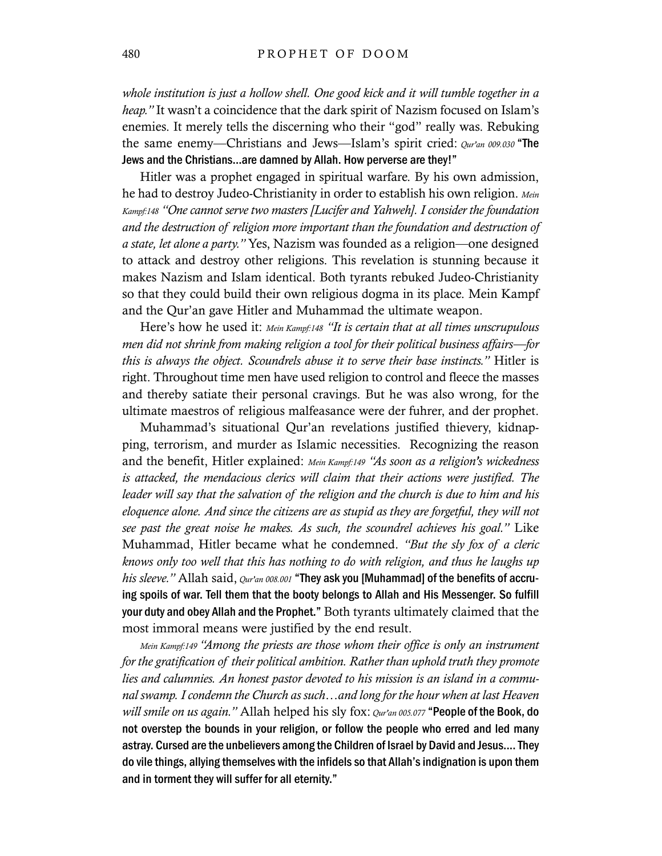*whole institution is just a hollow shell. One good kick and it will tumble together in a heap."* It wasn't a coincidence that the dark spirit of Nazism focused on Islam's enemies. It merely tells the discerning who their "god" really was. Rebuking the same enemy—Christians and Jews—Islam's spirit cried: *Qur'an 009.030* "The Jews and the Christians…are damned by Allah. How perverse are they!"

Hitler was a prophet engaged in spiritual warfare. By his own admission, he had to destroy Judeo-Christianity in order to establish his own religion. *Mein Kampf:148 "One cannot serve two masters [Lucifer and Yahweh]. I consider the foundation and the destruction of religion more important than the foundation and destruction of a state, let alone a party."* Yes, Nazism was founded as a religion—one designed to attack and destroy other religions. This revelation is stunning because it makes Nazism and Islam identical. Both tyrants rebuked Judeo-Christianity so that they could build their own religious dogma in its place. Mein Kampf and the Qur'an gave Hitler and Muhammad the ultimate weapon.

Here's how he used it: *Mein Kampf:148 "It is certain that at all times unscrupulous men did not shrink from making religion a tool for their political business affairs—for this is always the object. Scoundrels abuse it to serve their base instincts."* Hitler is right. Throughout time men have used religion to control and fleece the masses and thereby satiate their personal cravings. But he was also wrong, for the ultimate maestros of religious malfeasance were der fuhrer, and der prophet.

Muhammad's situational Qur'an revelations justified thievery, kidnapping, terrorism, and murder as Islamic necessities. Recognizing the reason and the benefit, Hitler explained: *Mein Kampf:149 "As soon as a religion's wickedness is attacked, the mendacious clerics will claim that their actions were justified. The leader will say that the salvation of the religion and the church is due to him and his eloquence alone. And since the citizens are as stupid as they are forgetful, they will not see past the great noise he makes. As such, the scoundrel achieves his goal."* Like Muhammad, Hitler became what he condemned. *"But the sly fox of a cleric knows only too well that this has nothing to do with religion, and thus he laughs up his sleeve."* Allah said, *Qur'an 008.001* "They ask you [Muhammad] of the benefits of accruing spoils of war. Tell them that the booty belongs to Allah and His Messenger. So fulfill your duty and obey Allah and the Prophet." Both tyrants ultimately claimed that the most immoral means were justified by the end result.

*Mein Kampf:149 "Among the priests are those whom their office is only an instrument for the gratification of their political ambition. Rather than uphold truth they promote lies and calumnies. An honest pastor devoted to his mission is an island in a communal swamp. I condemn the Church as such…and long for the hour when at last Heaven will smile on us again."* Allah helped his sly fox: *Qur'an 005.077* "People of the Book, do not overstep the bounds in your religion, or follow the people who erred and led many astray. Cursed are the unbelievers among the Children of Israel by David and Jesus.... They do vile things, allying themselves with the infidels so that Allah's indignation is upon them and in torment they will suffer for all eternity."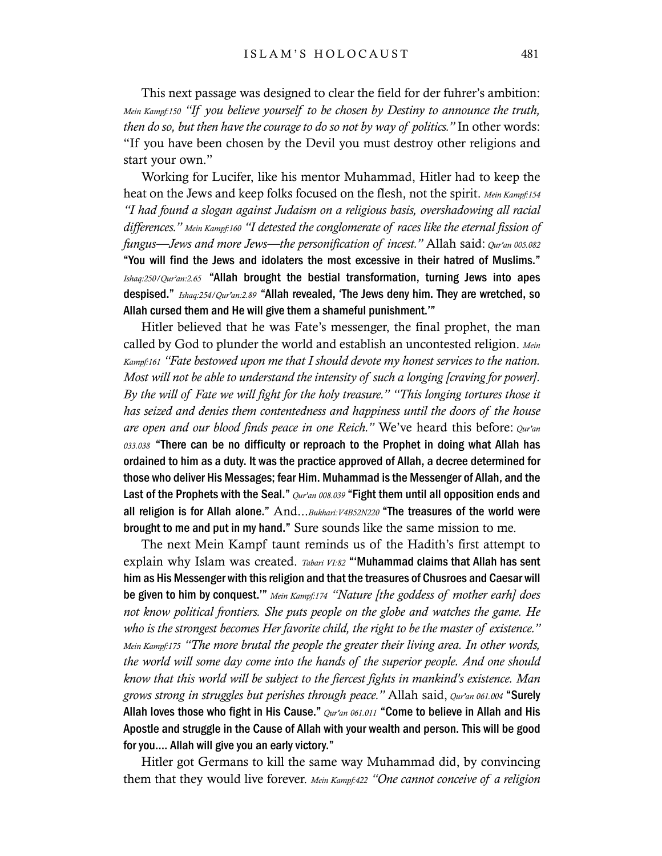This next passage was designed to clear the field for der fuhrer's ambition: *Mein Kampf:150 "If you believe yourself to be chosen by Destiny to announce the truth, then do so, but then have the courage to do so not by way of politics."* In other words: "If you have been chosen by the Devil you must destroy other religions and start your own."

Working for Lucifer, like his mentor Muhammad, Hitler had to keep the heat on the Jews and keep folks focused on the flesh, not the spirit. *Mein Kampf:154 "I had found a slogan against Judaism on a religious basis, overshadowing all racial differences." Mein Kampf:160 "I detested the conglomerate of races like the eternal fission of fungus—Jews and more Jews—the personification of incest."* Allah said: *Qur'an 005.082* "You will find the Jews and idolaters the most excessive in their hatred of Muslims." *Ishaq:250/Qur'an:2.65* "Allah brought the bestial transformation, turning Jews into apes despised." *Ishaq:254/Qur'an:2.89* "Allah revealed, 'The Jews deny him. They are wretched, so Allah cursed them and He will give them a shameful punishment.'"

Hitler believed that he was Fate's messenger, the final prophet, the man called by God to plunder the world and establish an uncontested religion. *Mein Kampf:161 "Fate bestowed upon me that I should devote my honest services to the nation. Most will not be able to understand the intensity of such a longing [craving for power]. By the will of Fate we will fight for the holy treasure." "This longing tortures those it has seized and denies them contentedness and happiness until the doors of the house are open and our blood finds peace in one Reich."* We've heard this before: *Qur'an 033.038* "There can be no difficulty or reproach to the Prophet in doing what Allah has ordained to him as a duty. It was the practice approved of Allah, a decree determined for those who deliver His Messages; fear Him. Muhammad is the Messenger of Allah, and the Last of the Prophets with the Seal." *Qur'an 008.039* "Fight them until all opposition ends and all religion is for Allah alone." And...Bukhari:V4B52N220 "The treasures of the world were brought to me and put in my hand." Sure sounds like the same mission to me.

The next Mein Kampf taunt reminds us of the Hadith's first attempt to explain why Islam was created. *Tabari VI:82* "'Muhammad claims that Allah has sent him as His Messenger with this religion and that the treasures of Chusroes and Caesar will be given to him by conquest.'" *Mein Kampf:174 "Nature [the goddess of mother earh] does not know political frontiers. She puts people on the globe and watches the game. He who is the strongest becomes Her favorite child, the right to be the master of existence." Mein Kampf:175 "The more brutal the people the greater their living area. In other words, the world will some day come into the hands of the superior people. And one should know that this world will be subject to the fiercest fights in mankind's existence. Man grows strong in struggles but perishes through peace."* Allah said, *Qur'an 061.004* "Surely Allah loves those who fight in His Cause." *Qur'an 061.011* "Come to believe in Allah and His Apostle and struggle in the Cause of Allah with your wealth and person. This will be good for you…. Allah will give you an early victory."

Hitler got Germans to kill the same way Muhammad did, by convincing them that they would live forever. *Mein Kampf:422 "One cannot conceive of a religion*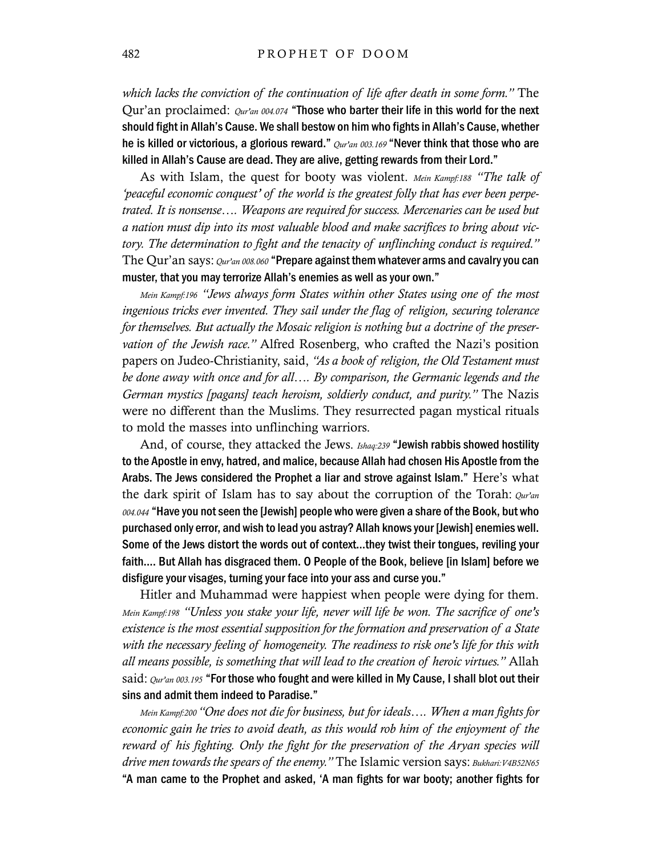*which lacks the conviction of the continuation of life after death in some form."* The Qur'an proclaimed: *Qur'an 004.074* "Those who barter their life in this world for the next should fight in Allah's Cause. We shall bestow on him who fights in Allah's Cause, whether he is killed or victorious, a glorious reward." *Qur'an 003.169* "Never think that those who are killed in Allah's Cause are dead. They are alive, getting rewards from their Lord."

As with Islam, the quest for booty was violent. *Mein Kampf:188 "The talk of 'peaceful economic conquest' of the world is the greatest folly that has ever been perpetrated. It is nonsense…. Weapons are required for success. Mercenaries can be used but a nation must dip into its most valuable blood and make sacrifices to bring about victory. The determination to fight and the tenacity of unflinching conduct is required."* The Qur'an says: *Qur'an 008.060* "Prepare against them whatever arms and cavalry you can muster, that you may terrorize Allah's enemies as well as your own."

*Mein Kampf:196 "Jews always form States within other States using one of the most ingenious tricks ever invented. They sail under the flag of religion, securing tolerance for themselves. But actually the Mosaic religion is nothing but a doctrine of the preservation of the Jewish race."* Alfred Rosenberg, who crafted the Nazi's position papers on Judeo-Christianity, said, *"As a book of religion, the Old Testament must be done away with once and for all…. By comparison, the Germanic legends and the German mystics [pagans] teach heroism, soldierly conduct, and purity."* The Nazis were no different than the Muslims. They resurrected pagan mystical rituals to mold the masses into unflinching warriors.

And, of course, they attacked the Jews. *Ishaq:239* "Jewish rabbis showed hostility to the Apostle in envy, hatred, and malice, because Allah had chosen His Apostle from the Arabs. The Jews considered the Prophet a liar and strove against Islam." Here's what the dark spirit of Islam has to say about the corruption of the Torah: *Qur'an 004.044* "Have you not seen the [Jewish] people who were given a share of the Book, but who purchased only error, and wish to lead you astray? Allah knows your [Jewish] enemies well. Some of the Jews distort the words out of context…they twist their tongues, reviling your faith…. But Allah has disgraced them. O People of the Book, believe [in Islam] before we disfigure your visages, turning your face into your ass and curse you."

Hitler and Muhammad were happiest when people were dying for them. *Mein Kampf:198 "Unless you stake your life, never will life be won. The sacrifice of one's existence is the most essential supposition for the formation and preservation of a State with the necessary feeling of homogeneity. The readiness to risk one's life for this with all means possible, is something that will lead to the creation of heroic virtues."* Allah said: *Qur'an 003.195* "For those who fought and were killed in My Cause, I shall blot out their sins and admit them indeed to Paradise."

*Mein Kampf:200 "One does not die for business, but for ideals…. When a man fights for economic gain he tries to avoid death, as this would rob him of the enjoyment of the reward of his fighting. Only the fight for the preservation of the Aryan species will drive men towards the spears of the enemy."* The Islamic version says: *Bukhari:V4B52N65* "A man came to the Prophet and asked, 'A man fights for war booty; another fights for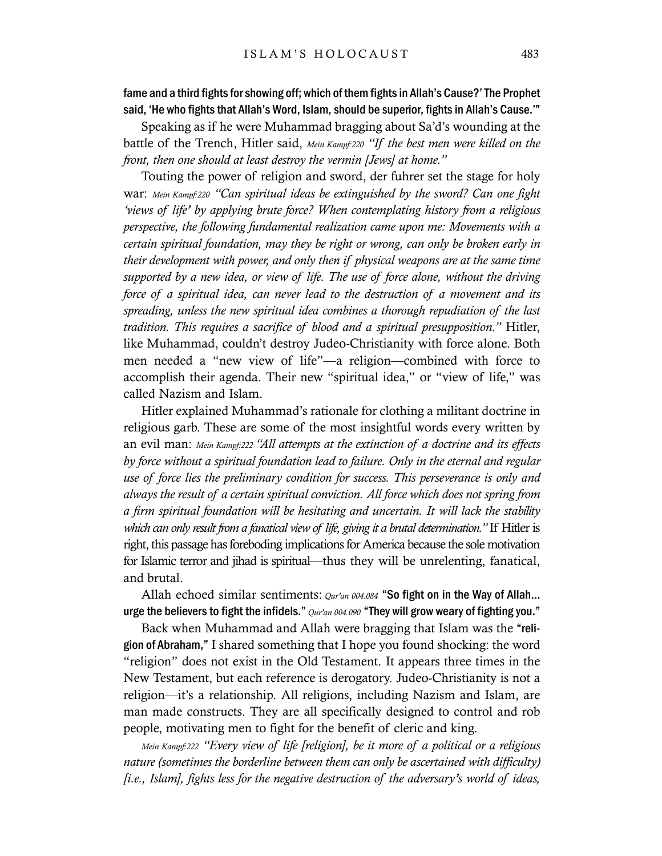fame and a third fights for showing off; which of them fights in Allah's Cause?' The Prophet said, 'He who fights that Allah's Word, Islam, should be superior, fights in Allah's Cause.'"

Speaking as if he were Muhammad bragging about Sa'd's wounding at the battle of the Trench, Hitler said, *Mein Kampf:220 "If the best men were killed on the front, then one should at least destroy the vermin [Jews] at home."*

Touting the power of religion and sword, der fuhrer set the stage for holy war: *Mein Kampf:220 "Can spiritual ideas be extinguished by the sword? Can one fight 'views of life' by applying brute force? When contemplating history from a religious perspective, the following fundamental realization came upon me: Movements with a certain spiritual foundation, may they be right or wrong, can only be broken early in their development with power, and only then if physical weapons are at the same time supported by a new idea, or view of life. The use of force alone, without the driving force of a spiritual idea, can never lead to the destruction of a movement and its spreading, unless the new spiritual idea combines a thorough repudiation of the last tradition. This requires a sacrifice of blood and a spiritual presupposition."* Hitler, like Muhammad, couldn't destroy Judeo-Christianity with force alone. Both men needed a "new view of life"—a religion—combined with force to accomplish their agenda. Their new "spiritual idea," or "view of life," was called Nazism and Islam.

Hitler explained Muhammad's rationale for clothing a militant doctrine in religious garb. These are some of the most insightful words every written by an evil man: *Mein Kampf:222 "All attempts at the extinction of a doctrine and its effects by force without a spiritual foundation lead to failure. Only in the eternal and regular use of force lies the preliminary condition for success. This perseverance is only and always the result of a certain spiritual conviction. All force which does not spring from a firm spiritual foundation will be hesitating and uncertain. It will lack the stability which can only result from a fanatical view of life, giving it a brutal determination."* If Hitler is right, this passage has foreboding implications for America because the sole motivation for Islamic terror and jihad is spiritual—thus they will be unrelenting, fanatical, and brutal.

Allah echoed similar sentiments: *Qur'an 004.084* "So fight on in the Way of Allah... urge the believers to fight the infidels." *Qur'an 004.090* "They will grow weary of fighting you."

Back when Muhammad and Allah were bragging that Islam was the "religion of Abraham," I shared something that I hope you found shocking: the word "religion" does not exist in the Old Testament. It appears three times in the New Testament, but each reference is derogatory. Judeo-Christianity is not a religion—it's a relationship. All religions, including Nazism and Islam, are man made constructs. They are all specifically designed to control and rob people, motivating men to fight for the benefit of cleric and king.

*Mein Kampf:222 "Every view of life [religion], be it more of a political or a religious nature (sometimes the borderline between them can only be ascertained with difficulty) [i.e., Islam], fights less for the negative destruction of the adversary's world of ideas,*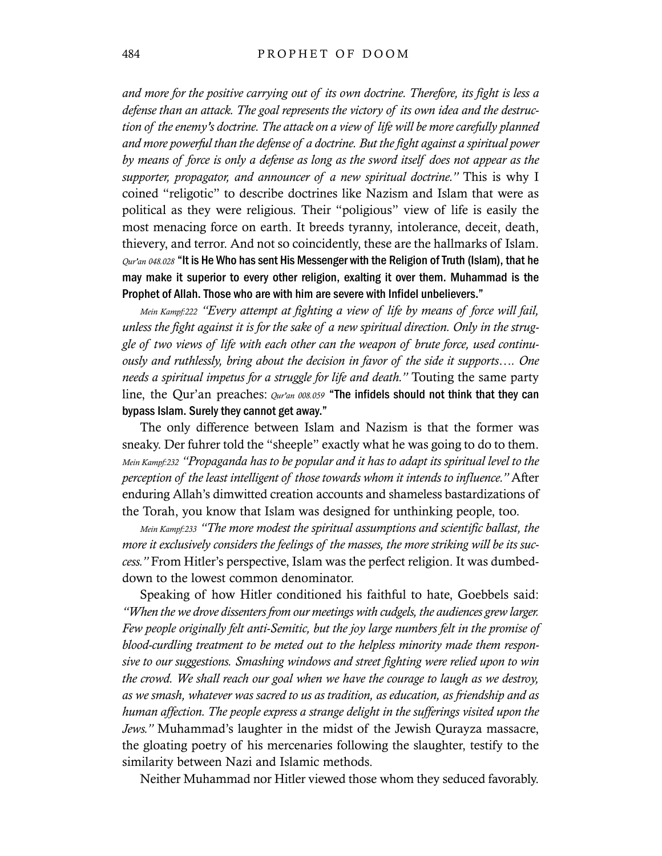*and more for the positive carrying out of its own doctrine. Therefore, its fight is less a defense than an attack. The goal represents the victory of its own idea and the destruction of the enemy's doctrine. The attack on a view of life will be more carefully planned and more powerful than the defense of a doctrine. But the fight against a spiritual power by means of force is only a defense as long as the sword itself does not appear as the supporter, propagator, and announcer of a new spiritual doctrine."* This is why I coined "religotic" to describe doctrines like Nazism and Islam that were as political as they were religious. Their "poligious" view of life is easily the most menacing force on earth. It breeds tyranny, intolerance, deceit, death, thievery, and terror. And not so coincidently, these are the hallmarks of Islam. *Qur'an 048.028* "It is He Who has sent His Messenger with the Religion of Truth (Islam), that he may make it superior to every other religion, exalting it over them. Muhammad is the Prophet of Allah. Those who are with him are severe with Infidel unbelievers."

*Mein Kampf:222 "Every attempt at fighting a view of life by means of force will fail, unless the fight against it is for the sake of a new spiritual direction. Only in the struggle of two views of life with each other can the weapon of brute force, used continuously and ruthlessly, bring about the decision in favor of the side it supports…. One needs a spiritual impetus for a struggle for life and death."* Touting the same party line, the Qur'an preaches: *Qur'an 008.059* "The infidels should not think that they can bypass Islam. Surely they cannot get away."

The only difference between Islam and Nazism is that the former was sneaky. Der fuhrer told the "sheeple" exactly what he was going to do to them. *Mein Kampf:232 "Propaganda has to be popular and it has to adapt its spiritual level to the perception of the least intelligent of those towards whom it intends to influence."* After enduring Allah's dimwitted creation accounts and shameless bastardizations of the Torah, you know that Islam was designed for unthinking people, too.

*Mein Kampf:233 "The more modest the spiritual assumptions and scientific ballast, the more it exclusively considers the feelings of the masses, the more striking will be its success."* From Hitler's perspective, Islam was the perfect religion. It was dumbeddown to the lowest common denominator.

Speaking of how Hitler conditioned his faithful to hate, Goebbels said: *"When the we drove dissenters from our meetings with cudgels, the audiences grew larger. Few people originally felt anti-Semitic, but the joy large numbers felt in the promise of blood-curdling treatment to be meted out to the helpless minority made them responsive to our suggestions. Smashing windows and street fighting were relied upon to win the crowd. We shall reach our goal when we have the courage to laugh as we destroy, as we smash, whatever was sacred to us as tradition, as education, as friendship and as human affection. The people express a strange delight in the sufferings visited upon the Jews."* Muhammad's laughter in the midst of the Jewish Qurayza massacre, the gloating poetry of his mercenaries following the slaughter, testify to the similarity between Nazi and Islamic methods.

Neither Muhammad nor Hitler viewed those whom they seduced favorably.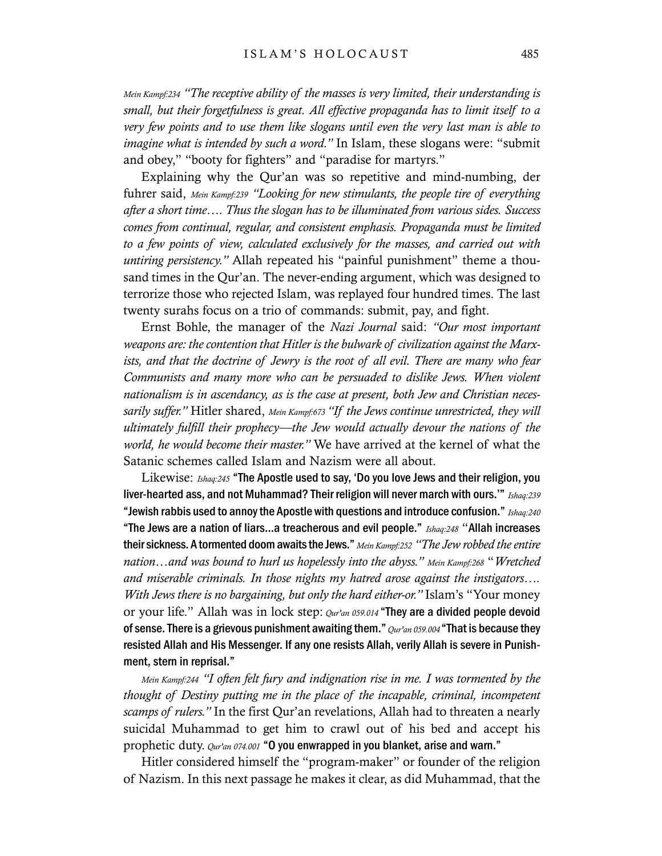*Mein Kampf:234 "The receptive ability of the masses is very limited, their understanding is small, but their forgetfulness is great. All effective propaganda has to limit itself to a very few points and to use them like slogans until even the very last man is able to imagine what is intended by such a word."* In Islam, these slogans were: "submit and obey," "booty for fighters" and "paradise for martyrs."

Explaining why the Qur'an was so repetitive and mind-numbing, der fuhrer said, *Mein Kampf:239 "Looking for new stimulants, the people tire of everything after a short time…. Thus the slogan has to be illuminated from various sides. Success comes from continual, regular, and consistent emphasis. Propaganda must be limited to a few points of view, calculated exclusively for the masses, and carried out with untiring persistency."* Allah repeated his "painful punishment" theme a thousand times in the Qur'an. The never-ending argument, which was designed to terrorize those who rejected Islam, was replayed four hundred times. The last twenty surahs focus on a trio of commands: submit, pay, and fight.

Ernst Bohle, the manager of the *Nazi Journal* said: *"Our most important weapons are: the contention that Hitler is the bulwark of civilization against the Marxists, and that the doctrine of Jewry is the root of all evil. There are many who fear Communists and many more who can be persuaded to dislike Jews. When violent nationalism is in ascendancy, as is the case at present, both Jew and Christian necessarily suffer."* Hitler shared, *Mein Kampf:673 "If the Jews continue unrestricted, they will ultimately fulfill their prophecy—the Jew would actually devour the nations of the world, he would become their master."* We have arrived at the kernel of what the Satanic schemes called Islam and Nazism were all about.

Likewise: *Ishaq:245* "The Apostle used to say, 'Do you love Jews and their religion, you liver-hearted ass, and not Muhammad? Their religion will never march with ours.'" *Ishaq:239* "Jewish rabbis used to annoy the Apostle with questions and introduce confusion." *Ishaq:240* "The Jews are a nation of liars…a treacherous and evil people." *Ishaq:248* "Allah increases their sickness. A tormented doom awaits the Jews." *Mein Kampf:252 "The Jew robbed the entire nation…and was bound to hurl us hopelessly into the abyss." Mein Kampf:268* "*Wretched and miserable criminals. In those nights my hatred arose against the instigators…. With Jews there is no bargaining, but only the hard either-or."* Islam's "Your money or your life." Allah was in lock step: *Qur'an 059.014* "They are a divided people devoid of sense. There is a grievous punishment awaiting them." *Qur'an 059.004* "That is because they resisted Allah and His Messenger. If any one resists Allah, verily Allah is severe in Punishment, stern in reprisal."

*Mein Kampf:244 "I often felt fury and indignation rise in me. I was tormented by the thought of Destiny putting me in the place of the incapable, criminal, incompetent scamps of rulers."* In the first Qur'an revelations, Allah had to threaten a nearly suicidal Muhammad to get him to crawl out of his bed and accept his prophetic duty. *Qur'an 074.001* "O you enwrapped in you blanket, arise and warn."

Hitler considered himself the "program-maker" or founder of the religion of Nazism. In this next passage he makes it clear, as did Muhammad, that the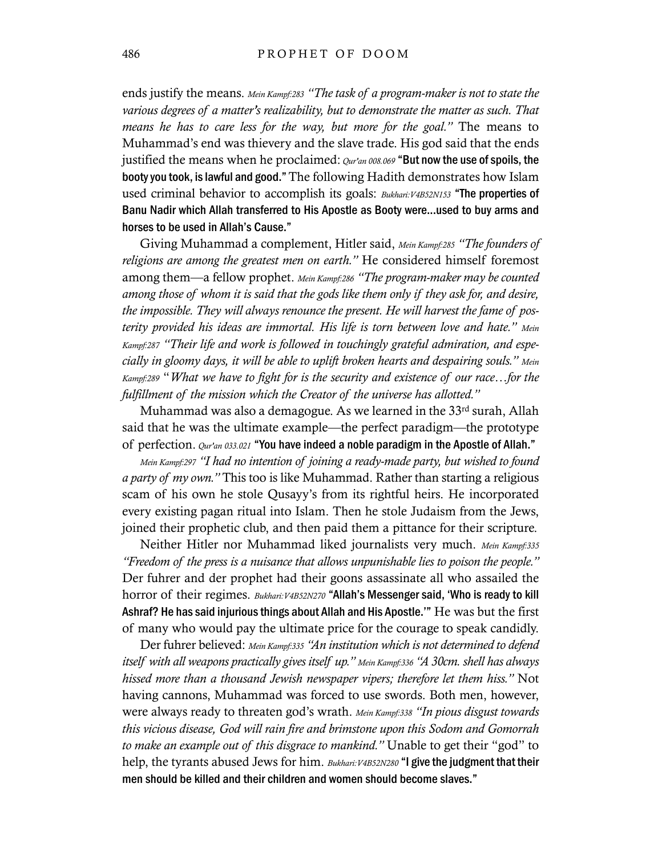ends justify the means. *Mein Kampf:283 "The task of a program-maker is not to state the various degrees of a matter's realizability, but to demonstrate the matter as such. That means he has to care less for the way, but more for the goal."* The means to Muhammad's end was thievery and the slave trade. His god said that the ends justified the means when he proclaimed: *Qur'an 008.069* "But now the use of spoils, the booty you took, is lawful and good." The following Hadith demonstrates how Islam used criminal behavior to accomplish its goals: *Bukhari:V4B52N153* "The properties of Banu Nadir which Allah transferred to His Apostle as Booty were...used to buy arms and horses to be used in Allah's Cause."

Giving Muhammad a complement, Hitler said, *Mein Kampf:285 "The founders of religions are among the greatest men on earth."* He considered himself foremost among them—a fellow prophet. *Mein Kampf:286 "The program-maker may be counted among those of whom it is said that the gods like them only if they ask for, and desire, the impossible. They will always renounce the present. He will harvest the fame of posterity provided his ideas are immortal. His life is torn between love and hate." Mein Kampf:287 "Their life and work is followed in touchingly grateful admiration, and especially in gloomy days, it will be able to uplift broken hearts and despairing souls." Mein Kampf:289* "*What we have to fight for is the security and existence of our race…for the fulfillment of the mission which the Creator of the universe has allotted."*

Muhammad was also a demagogue. As we learned in the 33rd surah, Allah said that he was the ultimate example—the perfect paradigm—the prototype of perfection. *Qur'an 033.021* "You have indeed a noble paradigm in the Apostle of Allah."

*Mein Kampf:297 "I had no intention of joining a ready-made party, but wished to found a party of my own."* This too is like Muhammad. Rather than starting a religious scam of his own he stole Qusayy's from its rightful heirs. He incorporated every existing pagan ritual into Islam. Then he stole Judaism from the Jews, joined their prophetic club, and then paid them a pittance for their scripture.

Neither Hitler nor Muhammad liked journalists very much. *Mein Kampf:335 "Freedom of the press is a nuisance that allows unpunishable lies to poison the people."* Der fuhrer and der prophet had their goons assassinate all who assailed the horror of their regimes. *Bukhari:V4B52N270* "Allah's Messenger said, 'Who is ready to kill Ashraf? He has said injurious things about Allah and His Apostle.'" He was but the first of many who would pay the ultimate price for the courage to speak candidly.

Der fuhrer believed: *Mein Kampf:335 "An institution which is not determined to defend itself with all weapons practically gives itself up." Mein Kampf:336 "A 30cm. shell has always hissed more than a thousand Jewish newspaper vipers; therefore let them hiss."* Not having cannons, Muhammad was forced to use swords. Both men, however, were always ready to threaten god's wrath. *Mein Kampf:338 "In pious disgust towards this vicious disease, God will rain fire and brimstone upon this Sodom and Gomorrah to make an example out of this disgrace to mankind."* Unable to get their "god" to help, the tyrants abused Jews for him. *Bukhari:V4B52N280* "I give the judgment that their men should be killed and their children and women should become slaves."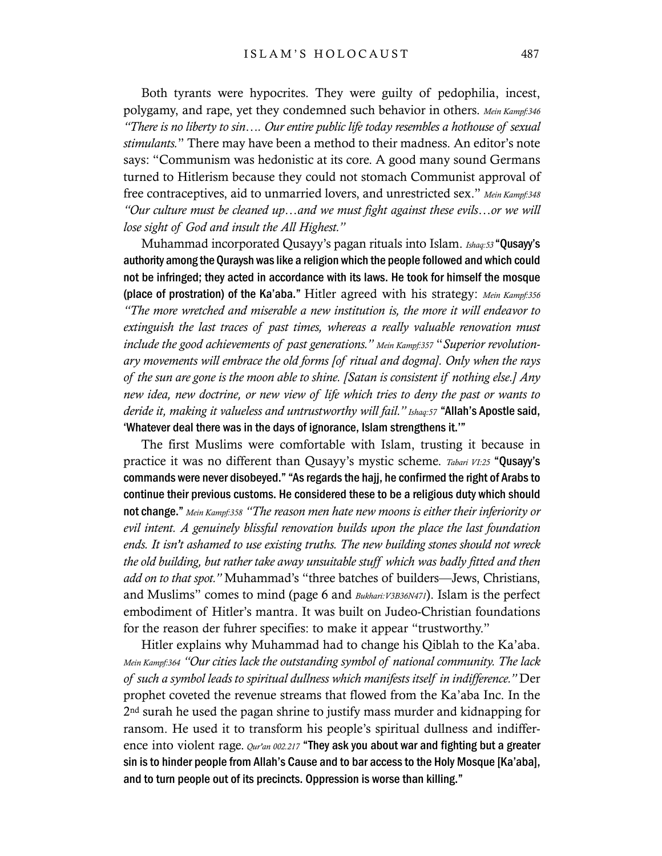Both tyrants were hypocrites. They were guilty of pedophilia, incest, polygamy, and rape, yet they condemned such behavior in others. *Mein Kampf:346 "There is no liberty to sin…. Our entire public life today resembles a hothouse of sexual stimulants.*" There may have been a method to their madness. An editor's note says: "Communism was hedonistic at its core. A good many sound Germans turned to Hitlerism because they could not stomach Communist approval of free contraceptives, aid to unmarried lovers, and unrestricted sex." *Mein Kampf:348 "Our culture must be cleaned up…and we must fight against these evils…or we will lose sight of God and insult the All Highest."*

Muhammad incorporated Qusayy's pagan rituals into Islam. *Ishaq:53* "Qusayy's authority among the Quraysh was like a religion which the people followed and which could not be infringed; they acted in accordance with its laws. He took for himself the mosque (place of prostration) of the Ka'aba." Hitler agreed with his strategy: *Mein Kampf:356 "The more wretched and miserable a new institution is, the more it will endeavor to extinguish the last traces of past times, whereas a really valuable renovation must include the good achievements of past generations." Mein Kampf:357* "*Superior revolutionary movements will embrace the old forms [of ritual and dogma]. Only when the rays of the sun are gone is the moon able to shine. [Satan is consistent if nothing else.] Any new idea, new doctrine, or new view of life which tries to deny the past or wants to deride it, making it valueless and untrustworthy will fail." Ishaq:57* "Allah's Apostle said, 'Whatever deal there was in the days of ignorance, Islam strengthens it.'"

The first Muslims were comfortable with Islam, trusting it because in practice it was no different than Qusayy's mystic scheme. *Tabari VI:25* "Qusayy's commands were never disobeyed." "As regards the hajj, he confirmed the right of Arabs to continue their previous customs. He considered these to be a religious duty which should not change." *Mein Kampf:358 "The reason men hate new moons is either their inferiority or evil intent. A genuinely blissful renovation builds upon the place the last foundation ends. It isn't ashamed to use existing truths. The new building stones should not wreck the old building, but rather take away unsuitable stuff which was badly fitted and then add on to that spot."* Muhammad's "three batches of builders—Jews, Christians, and Muslims" comes to mind (page 6 and *Bukhari:V3B36N471*). Islam is the perfect embodiment of Hitler's mantra. It was built on Judeo-Christian foundations for the reason der fuhrer specifies: to make it appear "trustworthy."

Hitler explains why Muhammad had to change his Qiblah to the Ka'aba. *Mein Kampf:364 "Our cities lack the outstanding symbol of national community. The lack of such a symbol leads to spiritual dullness which manifests itself in indifference."* Der prophet coveted the revenue streams that flowed from the Ka'aba Inc. In the 2nd surah he used the pagan shrine to justify mass murder and kidnapping for ransom. He used it to transform his people's spiritual dullness and indifference into violent rage. *Qur'an 002.217* "They ask you about war and fighting but a greater sin is to hinder people from Allah's Cause and to bar access to the Holy Mosque [Ka'aba], and to turn people out of its precincts. Oppression is worse than killing."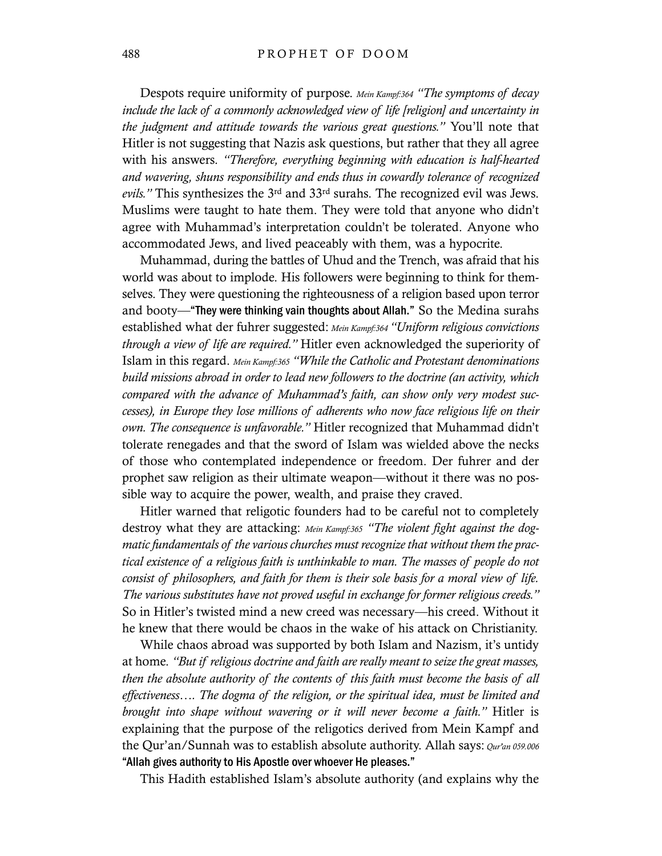Despots require uniformity of purpose. *Mein Kampf:364 "The symptoms of decay include the lack of a commonly acknowledged view of life [religion] and uncertainty in the judgment and attitude towards the various great questions."* You'll note that Hitler is not suggesting that Nazis ask questions, but rather that they all agree with his answers. *"Therefore, everything beginning with education is half-hearted and wavering, shuns responsibility and ends thus in cowardly tolerance of recognized evils."* This synthesizes the 3rd and 33rd surahs. The recognized evil was Jews. Muslims were taught to hate them. They were told that anyone who didn't agree with Muhammad's interpretation couldn't be tolerated. Anyone who accommodated Jews, and lived peaceably with them, was a hypocrite.

Muhammad, during the battles of Uhud and the Trench, was afraid that his world was about to implode. His followers were beginning to think for themselves. They were questioning the righteousness of a religion based upon terror and booty—"They were thinking vain thoughts about Allah." So the Medina surahs established what der fuhrer suggested: *Mein Kampf:364 "Uniform religious convictions through a view of life are required."* Hitler even acknowledged the superiority of Islam in this regard. *Mein Kampf:365 "While the Catholic and Protestant denominations build missions abroad in order to lead new followers to the doctrine (an activity, which compared with the advance of Muhammad's faith, can show only very modest successes), in Europe they lose millions of adherents who now face religious life on their own. The consequence is unfavorable."* Hitler recognized that Muhammad didn't tolerate renegades and that the sword of Islam was wielded above the necks of those who contemplated independence or freedom. Der fuhrer and der prophet saw religion as their ultimate weapon—without it there was no possible way to acquire the power, wealth, and praise they craved.

Hitler warned that religotic founders had to be careful not to completely destroy what they are attacking: *Mein Kampf:365 "The violent fight against the dogmatic fundamentals of the various churches must recognize that without them the practical existence of a religious faith is unthinkable to man. The masses of people do not consist of philosophers, and faith for them is their sole basis for a moral view of life. The various substitutes have not proved useful in exchange for former religious creeds."* So in Hitler's twisted mind a new creed was necessary—his creed. Without it he knew that there would be chaos in the wake of his attack on Christianity.

While chaos abroad was supported by both Islam and Nazism, it's untidy at home. *"But if religious doctrine and faith are really meant to seize the great masses, then the absolute authority of the contents of this faith must become the basis of all effectiveness…. The dogma of the religion, or the spiritual idea, must be limited and brought into shape without wavering or it will never become a faith."* Hitler is explaining that the purpose of the religotics derived from Mein Kampf and the Qur'an/Sunnah was to establish absolute authority. Allah says: *Qur'an 059.006* "Allah gives authority to His Apostle over whoever He pleases."

This Hadith established Islam's absolute authority (and explains why the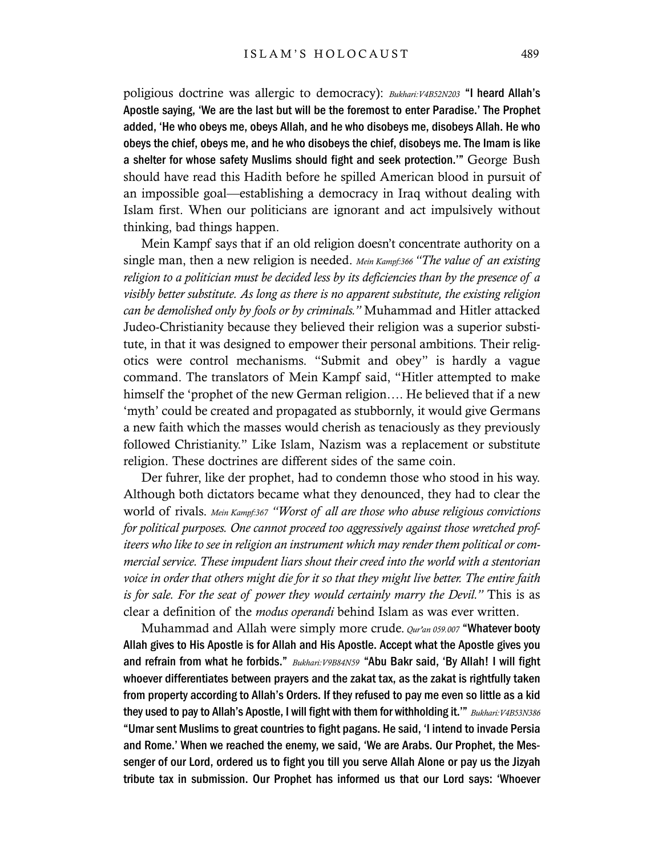poligious doctrine was allergic to democracy): *Bukhari:V4B52N203* "I heard Allah's Apostle saying, 'We are the last but will be the foremost to enter Paradise.' The Prophet added, 'He who obeys me, obeys Allah, and he who disobeys me, disobeys Allah. He who obeys the chief, obeys me, and he who disobeys the chief, disobeys me. The Imam is like a shelter for whose safety Muslims should fight and seek protection.'" George Bush should have read this Hadith before he spilled American blood in pursuit of an impossible goal—establishing a democracy in Iraq without dealing with Islam first. When our politicians are ignorant and act impulsively without thinking, bad things happen.

Mein Kampf says that if an old religion doesn't concentrate authority on a single man, then a new religion is needed. *Mein Kampf:366 "The value of an existing religion to a politician must be decided less by its deficiencies than by the presence of a visibly better substitute. As long as there is no apparent substitute, the existing religion can be demolished only by fools or by criminals."* Muhammad and Hitler attacked Judeo-Christianity because they believed their religion was a superior substitute, in that it was designed to empower their personal ambitions. Their religotics were control mechanisms. "Submit and obey" is hardly a vague command. The translators of Mein Kampf said, "Hitler attempted to make himself the 'prophet of the new German religion.... He believed that if a new 'myth' could be created and propagated as stubbornly, it would give Germans a new faith which the masses would cherish as tenaciously as they previously followed Christianity." Like Islam, Nazism was a replacement or substitute religion. These doctrines are different sides of the same coin.

Der fuhrer, like der prophet, had to condemn those who stood in his way. Although both dictators became what they denounced, they had to clear the world of rivals. *Mein Kampf:367 "Worst of all are those who abuse religious convictions for political purposes. One cannot proceed too aggressively against those wretched profiteers who like to see in religion an instrument which may render them political or commercial service. These impudent liars shout their creed into the world with a stentorian voice in order that others might die for it so that they might live better. The entire faith is for sale. For the seat of power they would certainly marry the Devil."* This is as clear a definition of the *modus operandi* behind Islam as was ever written.

Muhammad and Allah were simply more crude. *Qur'an 059.007* "Whatever booty Allah gives to His Apostle is for Allah and His Apostle. Accept what the Apostle gives you and refrain from what he forbids." **Bukhari:V9B84N59** "Abu Bakr said, 'By Allah! I will fight whoever differentiates between prayers and the zakat tax, as the zakat is rightfully taken from property according to Allah's Orders. If they refused to pay me even so little as a kid they used to pay to Allah's Apostle, I will fight with them for withholding it." *Bukhari:V4B53N386* "Umar sent Muslims to great countries to fight pagans. He said, 'I intend to invade Persia and Rome.' When we reached the enemy, we said, 'We are Arabs. Our Prophet, the Messenger of our Lord, ordered us to fight you till you serve Allah Alone or pay us the Jizyah tribute tax in submission. Our Prophet has informed us that our Lord says: 'Whoever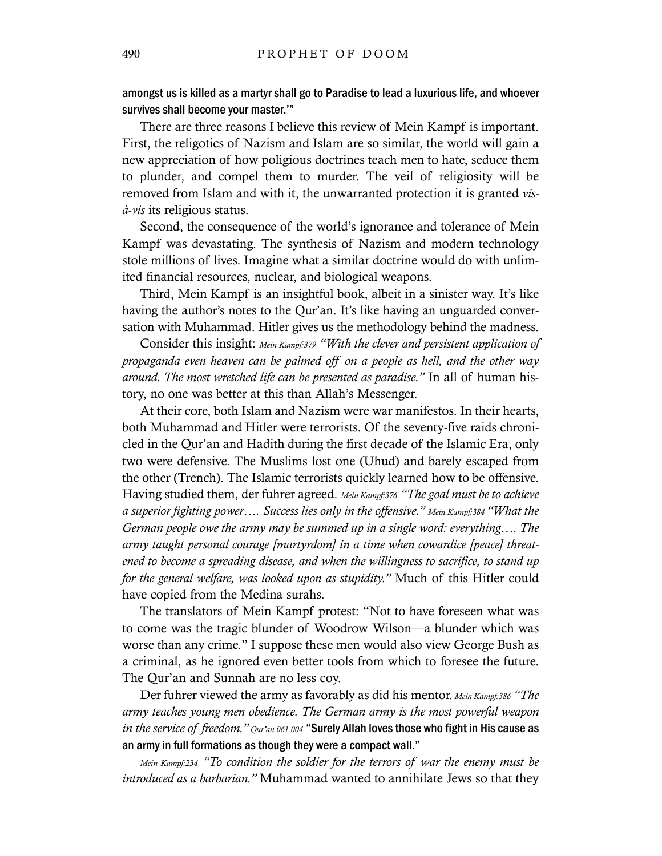amongst us is killed as a martyr shall go to Paradise to lead a luxurious life, and whoever survives shall become your master.'"

There are three reasons I believe this review of Mein Kampf is important. First, the religotics of Nazism and Islam are so similar, the world will gain a new appreciation of how poligious doctrines teach men to hate, seduce them to plunder, and compel them to murder. The veil of religiosity will be removed from Islam and with it, the unwarranted protection it is granted *visà-vis* its religious status.

Second, the consequence of the world's ignorance and tolerance of Mein Kampf was devastating. The synthesis of Nazism and modern technology stole millions of lives. Imagine what a similar doctrine would do with unlimited financial resources, nuclear, and biological weapons.

Third, Mein Kampf is an insightful book, albeit in a sinister way. It's like having the author's notes to the Qur'an. It's like having an unguarded conversation with Muhammad. Hitler gives us the methodology behind the madness.

Consider this insight: *Mein Kampf:379 "With the clever and persistent application of propaganda even heaven can be palmed off on a people as hell, and the other way around. The most wretched life can be presented as paradise."* In all of human history, no one was better at this than Allah's Messenger.

At their core, both Islam and Nazism were war manifestos. In their hearts, both Muhammad and Hitler were terrorists. Of the seventy-five raids chronicled in the Qur'an and Hadith during the first decade of the Islamic Era, only two were defensive. The Muslims lost one (Uhud) and barely escaped from the other (Trench). The Islamic terrorists quickly learned how to be offensive. Having studied them, der fuhrer agreed. *Mein Kampf:376 "The goal must be to achieve a superior fighting power…. Success lies only in the offensive." Mein Kampf:384 "What the German people owe the army may be summed up in a single word: everything…. The army taught personal courage [martyrdom] in a time when cowardice [peace] threatened to become a spreading disease, and when the willingness to sacrifice, to stand up for the general welfare, was looked upon as stupidity."* Much of this Hitler could have copied from the Medina surahs.

The translators of Mein Kampf protest: "Not to have foreseen what was to come was the tragic blunder of Woodrow Wilson—a blunder which was worse than any crime." I suppose these men would also view George Bush as a criminal, as he ignored even better tools from which to foresee the future. The Qur'an and Sunnah are no less coy.

Der fuhrer viewed the army as favorably as did his mentor. *Mein Kampf:386 "The army teaches young men obedience. The German army is the most powerful weapon in the service of freedom." Qur'an 061.004* "Surely Allah loves those who fight in His cause as an army in full formations as though they were a compact wall."

*Mein Kampf:234 "To condition the soldier for the terrors of war the enemy must be introduced as a barbarian."* Muhammad wanted to annihilate Jews so that they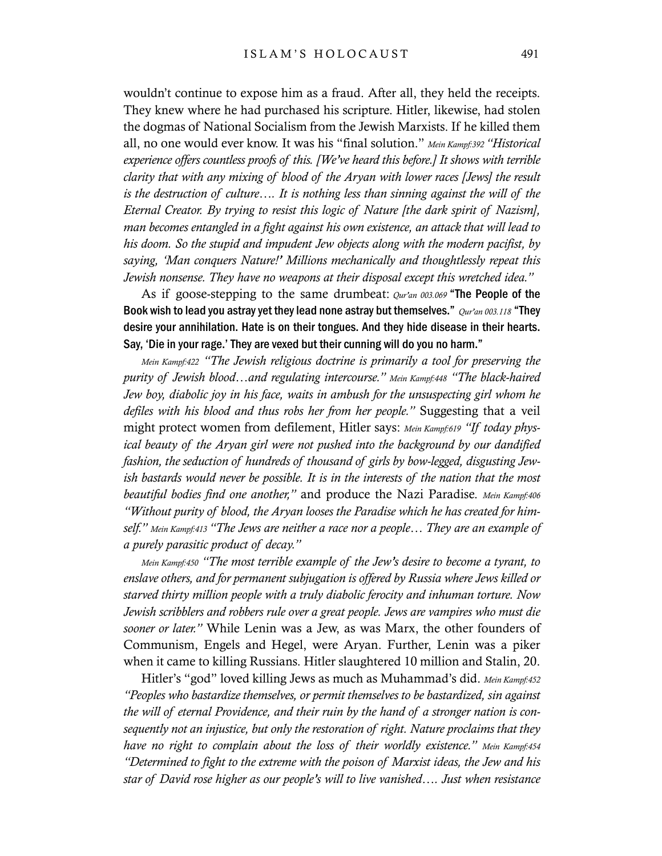wouldn't continue to expose him as a fraud. After all, they held the receipts. They knew where he had purchased his scripture. Hitler, likewise, had stolen the dogmas of National Socialism from the Jewish Marxists. If he killed them all, no one would ever know. It was his "final solution." *Mein Kampf:392 "Historical experience offers countless proofs of this. [We've heard this before.] It shows with terrible clarity that with any mixing of blood of the Aryan with lower races [Jews] the result is the destruction of culture…. It is nothing less than sinning against the will of the Eternal Creator. By trying to resist this logic of Nature [the dark spirit of Nazism], man becomes entangled in a fight against his own existence, an attack that will lead to his doom. So the stupid and impudent Jew objects along with the modern pacifist, by saying, 'Man conquers Nature!' Millions mechanically and thoughtlessly repeat this Jewish nonsense. They have no weapons at their disposal except this wretched idea."*

As if goose-stepping to the same drumbeat: *Qur'an 003.069* "The People of the Book wish to lead you astray yet they lead none astray but themselves." *Qur'an 003.118* "They desire your annihilation. Hate is on their tongues. And they hide disease in their hearts. Say, 'Die in your rage.' They are vexed but their cunning will do you no harm."

*Mein Kampf:422 "The Jewish religious doctrine is primarily a tool for preserving the purity of Jewish blood…and regulating intercourse." Mein Kampf:448 "The black-haired Jew boy, diabolic joy in his face, waits in ambush for the unsuspecting girl whom he defiles with his blood and thus robs her from her people."* Suggesting that a veil might protect women from defilement, Hitler says: *Mein Kampf:619 "If today physical beauty of the Aryan girl were not pushed into the background by our dandified fashion, the seduction of hundreds of thousand of girls by bow-legged, disgusting Jewish bastards would never be possible. It is in the interests of the nation that the most beautiful bodies find one another,"* and produce the Nazi Paradise. *Mein Kampf:406 "Without purity of blood, the Aryan looses the Paradise which he has created for himself." Mein Kampf:413 "The Jews are neither a race nor a people… They are an example of a purely parasitic product of decay."*

*Mein Kampf:450 "The most terrible example of the Jew's desire to become a tyrant, to enslave others, and for permanent subjugation is offered by Russia where Jews killed or starved thirty million people with a truly diabolic ferocity and inhuman torture. Now Jewish scribblers and robbers rule over a great people. Jews are vampires who must die sooner or later."* While Lenin was a Jew, as was Marx, the other founders of Communism, Engels and Hegel, were Aryan. Further, Lenin was a piker when it came to killing Russians. Hitler slaughtered 10 million and Stalin, 20.

Hitler's "god" loved killing Jews as much as Muhammad's did. *Mein Kampf:452 "Peoples who bastardize themselves, or permit themselves to be bastardized, sin against the will of eternal Providence, and their ruin by the hand of a stronger nation is consequently not an injustice, but only the restoration of right. Nature proclaims that they have no right to complain about the loss of their worldly existence." Mein Kampf:454 "Determined to fight to the extreme with the poison of Marxist ideas, the Jew and his star of David rose higher as our people's will to live vanished…. Just when resistance*